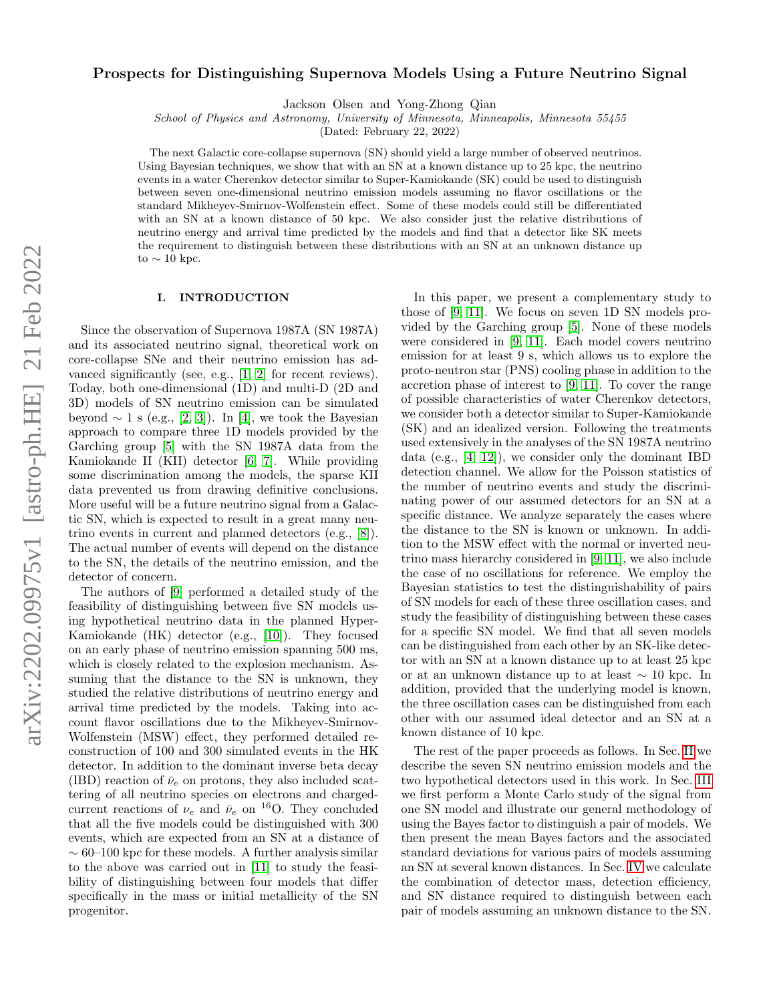# Prospects for Distinguishing Supernova Models Using a Future Neutrino Signal

Jackson Olsen and Yong-Zhong Qian

School of Physics and Astronomy, University of Minnesota, Minneapolis, Minnesota 55455

(Dated: February 22, 2022)

The next Galactic core-collapse supernova (SN) should yield a large number of observed neutrinos. Using Bayesian techniques, we show that with an SN at a known distance up to 25 kpc, the neutrino events in a water Cherenkov detector similar to Super-Kamiokande (SK) could be used to distinguish between seven one-dimensional neutrino emission models assuming no flavor oscillations or the standard Mikheyev-Smirnov-Wolfenstein effect. Some of these models could still be differentiated with an SN at a known distance of 50 kpc. We also consider just the relative distributions of neutrino energy and arrival time predicted by the models and find that a detector like SK meets the requirement to distinguish between these distributions with an SN at an unknown distance up to  $\sim$  10 kpc.

## I. INTRODUCTION

Since the observation of Supernova 1987A (SN 1987A) and its associated neutrino signal, theoretical work on core-collapse SNe and their neutrino emission has advanced significantly (see, e.g., [\[1,](#page-8-0) [2\]](#page-8-1) for recent reviews). Today, both one-dimensional (1D) and multi-D (2D and 3D) models of SN neutrino emission can be simulated beyond  $\sim 1$  s (e.g., [\[2,](#page-8-1) [3\]](#page-8-2)). In [\[4\]](#page-8-3), we took the Bayesian approach to compare three 1D models provided by the Garching group [\[5\]](#page-8-4) with the SN 1987A data from the Kamiokande II (KII) detector [\[6,](#page-8-5) [7\]](#page-8-6). While providing some discrimination among the models, the sparse KII data prevented us from drawing definitive conclusions. More useful will be a future neutrino signal from a Galactic SN, which is expected to result in a great many neutrino events in current and planned detectors (e.g., [\[8\]](#page-8-7)). The actual number of events will depend on the distance to the SN, the details of the neutrino emission, and the detector of concern.

The authors of [\[9\]](#page-8-8) performed a detailed study of the feasibility of distinguishing between five SN models using hypothetical neutrino data in the planned Hyper-Kamiokande (HK) detector (e.g., [\[10\]](#page-8-9)). They focused on an early phase of neutrino emission spanning 500 ms, which is closely related to the explosion mechanism. Assuming that the distance to the SN is unknown, they studied the relative distributions of neutrino energy and arrival time predicted by the models. Taking into account flavor oscillations due to the Mikheyev-Smirnov-Wolfenstein (MSW) effect, they performed detailed reconstruction of 100 and 300 simulated events in the HK detector. In addition to the dominant inverse beta decay (IBD) reaction of  $\bar{\nu}_e$  on protons, they also included scattering of all neutrino species on electrons and chargedcurrent reactions of  $\nu_e$  and  $\bar{\nu}_e$  on <sup>16</sup>O. They concluded that all the five models could be distinguished with 300 events, which are expected from an SN at a distance of  $\sim 60–100$  kpc for these models. A further analysis similar to the above was carried out in [\[11\]](#page-8-10) to study the feasibility of distinguishing between four models that differ specifically in the mass or initial metallicity of the SN progenitor.

In this paper, we present a complementary study to those of [\[9,](#page-8-8) [11\]](#page-8-10). We focus on seven 1D SN models provided by the Garching group [\[5\]](#page-8-4). None of these models were considered in [\[9,](#page-8-8) [11\]](#page-8-10). Each model covers neutrino emission for at least 9 s, which allows us to explore the proto-neutron star (PNS) cooling phase in addition to the accretion phase of interest to [\[9,](#page-8-8) [11\]](#page-8-10). To cover the range of possible characteristics of water Cherenkov detectors, we consider both a detector similar to Super-Kamiokande (SK) and an idealized version. Following the treatments used extensively in the analyses of the SN 1987A neutrino data (e.g., [\[4,](#page-8-3) [12\]](#page-8-11)), we consider only the dominant IBD detection channel. We allow for the Poisson statistics of the number of neutrino events and study the discriminating power of our assumed detectors for an SN at a specific distance. We analyze separately the cases where the distance to the SN is known or unknown. In addition to the MSW effect with the normal or inverted neutrino mass hierarchy considered in [\[9,](#page-8-8) [11\]](#page-8-10), we also include the case of no oscillations for reference. We employ the Bayesian statistics to test the distinguishability of pairs of SN models for each of these three oscillation cases, and study the feasibility of distinguishing between these cases for a specific SN model. We find that all seven models can be distinguished from each other by an SK-like detector with an SN at a known distance up to at least 25 kpc or at an unknown distance up to at least ∼ 10 kpc. In addition, provided that the underlying model is known, the three oscillation cases can be distinguished from each other with our assumed ideal detector and an SN at a known distance of 10 kpc.

The rest of the paper proceeds as follows. In Sec. [II](#page-1-0) we describe the seven SN neutrino emission models and the two hypothetical detectors used in this work. In Sec. [III](#page-3-0) we first perform a Monte Carlo study of the signal from one SN model and illustrate our general methodology of using the Bayes factor to distinguish a pair of models. We then present the mean Bayes factors and the associated standard deviations for various pairs of models assuming an SN at several known distances. In Sec. [IV](#page-5-0) we calculate the combination of detector mass, detection efficiency, and SN distance required to distinguish between each pair of models assuming an unknown distance to the SN.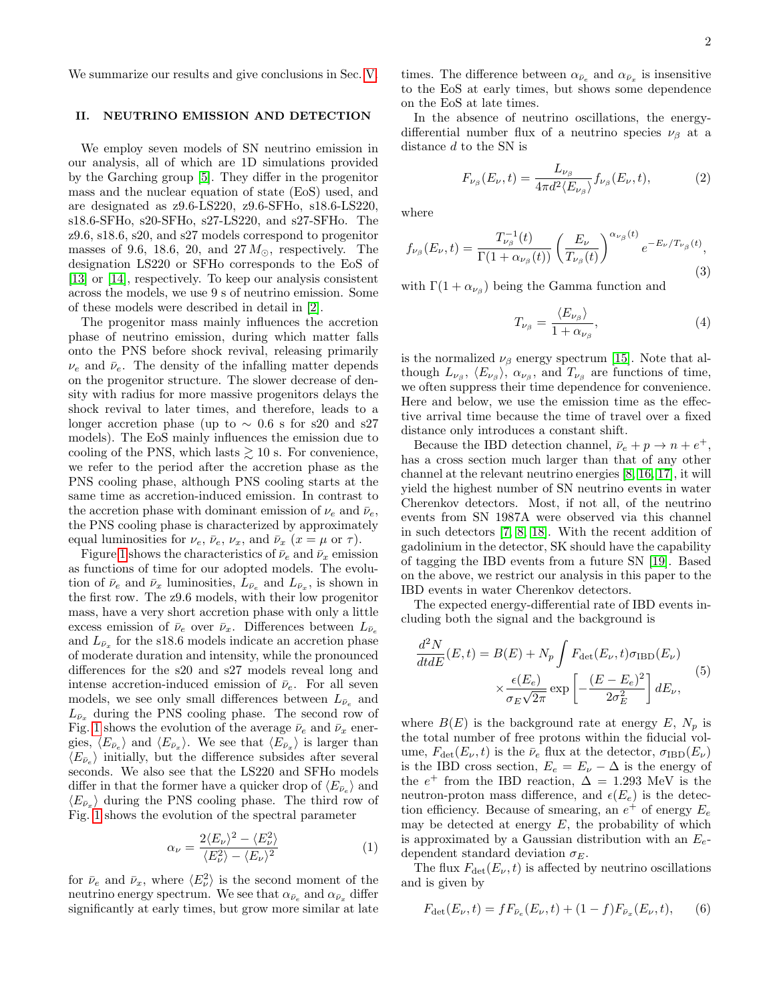We summarize our results and give conclusions in Sec. [V.](#page-7-0)

## <span id="page-1-0"></span>II. NEUTRINO EMISSION AND DETECTION

We employ seven models of SN neutrino emission in our analysis, all of which are 1D simulations provided by the Garching group [\[5\]](#page-8-4). They differ in the progenitor mass and the nuclear equation of state (EoS) used, and are designated as z9.6-LS220, z9.6-SFHo, s18.6-LS220, s18.6-SFHo, s20-SFHo, s27-LS220, and s27-SFHo. The z9.6, s18.6, s20, and s27 models correspond to progenitor masses of 9.6, 18.6, 20, and  $27 M_{\odot}$ , respectively. The designation LS220 or SFHo corresponds to the EoS of [\[13\]](#page-8-12) or [\[14\]](#page-8-13), respectively. To keep our analysis consistent across the models, we use 9 s of neutrino emission. Some of these models were described in detail in [\[2\]](#page-8-1).

The progenitor mass mainly influences the accretion phase of neutrino emission, during which matter falls onto the PNS before shock revival, releasing primarily  $\nu_e$  and  $\bar{\nu}_e$ . The density of the infalling matter depends on the progenitor structure. The slower decrease of density with radius for more massive progenitors delays the shock revival to later times, and therefore, leads to a longer accretion phase (up to  $\sim$  0.6 s for s20 and s27 models). The EoS mainly influences the emission due to cooling of the PNS, which lasts  $\geq 10$  s. For convenience, we refer to the period after the accretion phase as the PNS cooling phase, although PNS cooling starts at the same time as accretion-induced emission. In contrast to the accretion phase with dominant emission of  $\nu_e$  and  $\bar{\nu}_e$ , the PNS cooling phase is characterized by approximately equal luminosities for  $\nu_e$ ,  $\bar{\nu}_e$ ,  $\nu_x$ , and  $\bar{\nu}_x$  ( $x = \mu$  or  $\tau$ ).

Figure [1](#page-2-0) shows the characteristics of  $\bar{\nu}_e$  and  $\bar{\nu}_x$  emission as functions of time for our adopted models. The evolution of  $\bar{\nu}_e$  and  $\bar{\nu}_x$  luminosities,  $L_{\bar{\nu}_e}$  and  $L_{\bar{\nu}_x}$ , is shown in the first row. The z9.6 models, with their low progenitor mass, have a very short accretion phase with only a little excess emission of  $\bar{\nu}_e$  over  $\bar{\nu}_x$ . Differences between  $L_{\bar{\nu}_e}$ and  $L_{\bar{\nu}_x}$  for the s18.6 models indicate an accretion phase of moderate duration and intensity, while the pronounced differences for the s20 and s27 models reveal long and intense accretion-induced emission of  $\bar{\nu}_e$ . For all seven models, we see only small differences between  $L_{\bar{\nu}_e}$  and  $L_{\bar{\nu}_x}$  during the PNS cooling phase. The second row of Fig. [1](#page-2-0) shows the evolution of the average  $\bar{\nu}_e$  and  $\bar{\nu}_x$  energies,  $\langle E_{\bar{\nu}_e} \rangle$  and  $\langle E_{\bar{\nu}_x} \rangle$ . We see that  $\langle E_{\bar{\nu}_x} \rangle$  is larger than  $\langle E_{\bar{\nu}_e} \rangle$  initially, but the difference subsides after several seconds. We also see that the LS220 and SFHo models differ in that the former have a quicker drop of  $\langle E_{\bar{\nu}_e} \rangle$  and  $\langle E_{\bar{\nu}_x} \rangle$  during the PNS cooling phase. The third row of Fig. [1](#page-2-0) shows the evolution of the spectral parameter

$$
\alpha_{\nu} = \frac{2\langle E_{\nu}\rangle^2 - \langle E_{\nu}^2 \rangle}{\langle E_{\nu}^2 \rangle - \langle E_{\nu}\rangle^2}
$$
(1)

for  $\bar{\nu}_e$  and  $\bar{\nu}_x$ , where  $\langle E_\nu^2 \rangle$  is the second moment of the neutrino energy spectrum. We see that  $\alpha_{\bar{\nu}_e}$  and  $\alpha_{\bar{\nu}_x}$  differ significantly at early times, but grow more similar at late

times. The difference between  $\alpha_{\bar{\nu}_e}$  and  $\alpha_{\bar{\nu}_x}$  is insensitive to the EoS at early times, but shows some dependence on the EoS at late times.

In the absence of neutrino oscillations, the energydifferential number flux of a neutrino species  $\nu_\beta$  at a distance d to the SN is

$$
F_{\nu_{\beta}}(E_{\nu},t) = \frac{L_{\nu_{\beta}}}{4\pi d^2 \langle E_{\nu_{\beta}} \rangle} f_{\nu_{\beta}}(E_{\nu},t), \tag{2}
$$

where

$$
f_{\nu_{\beta}}(E_{\nu},t) = \frac{T_{\nu_{\beta}}^{-1}(t)}{\Gamma(1+\alpha_{\nu_{\beta}}(t))} \left(\frac{E_{\nu}}{T_{\nu_{\beta}}(t)}\right)^{\alpha_{\nu_{\beta}}(t)} e^{-E_{\nu}/T_{\nu_{\beta}}(t)},
$$
\n(3)

with  $\Gamma(1 + \alpha_{\nu_\beta})$  being the Gamma function and

$$
T_{\nu_{\beta}} = \frac{\langle E_{\nu_{\beta}} \rangle}{1 + \alpha_{\nu_{\beta}}},\tag{4}
$$

is the normalized  $\nu_\beta$  energy spectrum [\[15\]](#page-9-0). Note that although  $L_{\nu_{\beta}}$ ,  $\langle E_{\nu_{\beta}}\rangle$ ,  $\alpha_{\nu_{\beta}}$ , and  $T_{\nu_{\beta}}$  are functions of time, we often suppress their time dependence for convenience. Here and below, we use the emission time as the effective arrival time because the time of travel over a fixed distance only introduces a constant shift.

Because the IBD detection channel,  $\bar{\nu}_e + p \rightarrow n + e^+,$ has a cross section much larger than that of any other channel at the relevant neutrino energies [\[8,](#page-8-7) [16,](#page-9-1) [17\]](#page-9-2), it will yield the highest number of SN neutrino events in water Cherenkov detectors. Most, if not all, of the neutrino events from SN 1987A were observed via this channel in such detectors [\[7,](#page-8-6) [8,](#page-8-7) [18\]](#page-10-0). With the recent addition of gadolinium in the detector, SK should have the capability of tagging the IBD events from a future SN [\[19\]](#page-10-1). Based on the above, we restrict our analysis in this paper to the IBD events in water Cherenkov detectors.

The expected energy-differential rate of IBD events including both the signal and the background is

<span id="page-1-1"></span>
$$
\frac{d^2N}{dt dE}(E, t) = B(E) + N_p \int F_{\text{det}}(E_{\nu}, t) \sigma_{\text{IBD}}(E_{\nu})
$$

$$
\times \frac{\epsilon(E_e)}{\sigma_E \sqrt{2\pi}} \exp\left[-\frac{(E - E_e)^2}{2\sigma_E^2}\right] dE_{\nu}, \tag{5}
$$

where  $B(E)$  is the background rate at energy E,  $N_p$  is the total number of free protons within the fiducial volume,  $F_{\text{det}}(E_{\nu}, t)$  is the  $\bar{\nu}_e$  flux at the detector,  $\sigma_{\text{IBD}}(E_{\nu})$ is the IBD cross section,  $E_e = E_\nu - \Delta$  is the energy of the  $e^+$  from the IBD reaction,  $\Delta = 1.293$  MeV is the neutron-proton mass difference, and  $\epsilon(E_e)$  is the detection efficiency. Because of smearing, an  $e^+$  of energy  $E_e$ may be detected at energy  $E$ , the probability of which is approximated by a Gaussian distribution with an  $E_e$ dependent standard deviation  $\sigma_E$ .

The flux  $F_{\det}(E_{\nu}, t)$  is affected by neutrino oscillations and is given by

$$
F_{\det}(E_{\nu},t) = fF_{\bar{\nu}_e}(E_{\nu},t) + (1-f)F_{\bar{\nu}_x}(E_{\nu},t), \quad (6)
$$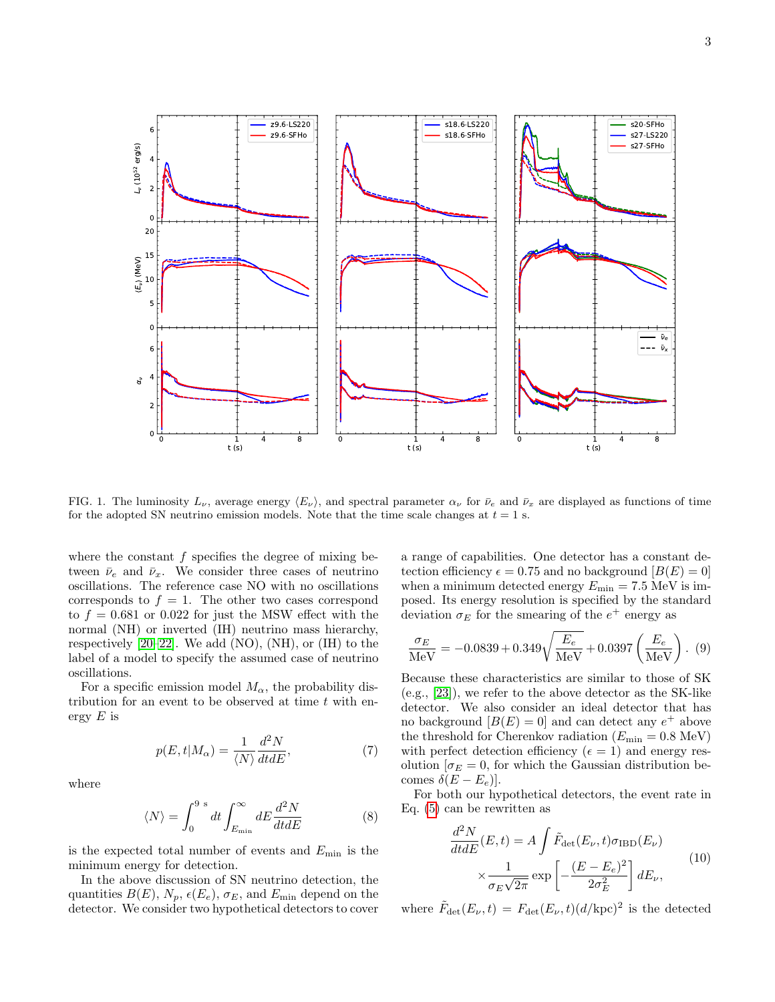

<span id="page-2-0"></span>FIG. 1. The luminosity  $L_{\nu}$ , average energy  $\langle E_{\nu} \rangle$ , and spectral parameter  $\alpha_{\nu}$  for  $\bar{\nu}_e$  and  $\bar{\nu}_x$  are displayed as functions of time for the adopted SN neutrino emission models. Note that the time scale changes at  $t = 1$  s.

where the constant  $f$  specifies the degree of mixing between  $\bar{\nu}_e$  and  $\bar{\nu}_x$ . We consider three cases of neutrino oscillations. The reference case NO with no oscillations corresponds to  $f = 1$ . The other two cases correspond to  $f = 0.681$  or 0.022 for just the MSW effect with the normal (NH) or inverted (IH) neutrino mass hierarchy, respectively  $[20-22]$  $[20-22]$ . We add  $(NO)$ ,  $(NH)$ , or  $(IH)$  to the label of a model to specify the assumed case of neutrino oscillations.

For a specific emission model  $M_{\alpha}$ , the probability distribution for an event to be observed at time  $t$  with energy  $E$  is

<span id="page-2-1"></span>
$$
p(E, t|M_{\alpha}) = \frac{1}{\langle N \rangle} \frac{d^2 N}{dt dE},\tag{7}
$$

where

$$
\langle N \rangle = \int_0^{9 \text{ s}} dt \int_{E_{\text{min}}}^{\infty} dE \frac{d^2 N}{dt dE}
$$
 (8)

is the expected total number of events and  $E_{\text{min}}$  is the minimum energy for detection.

In the above discussion of SN neutrino detection, the quantities  $B(E)$ ,  $N_p$ ,  $\epsilon(E_e)$ ,  $\sigma_E$ , and  $E_{\text{min}}$  depend on the detector. We consider two hypothetical detectors to cover

a range of capabilities. One detector has a constant detection efficiency  $\epsilon = 0.75$  and no background  $[B(E) = 0]$ when a minimum detected energy  $E_{\text{min}} = 7.5 \text{ MeV}$  is imposed. Its energy resolution is specified by the standard deviation  $\sigma_E$  for the smearing of the  $e^+$  energy as

$$
\frac{\sigma_E}{\text{MeV}} = -0.0839 + 0.349 \sqrt{\frac{E_e}{\text{MeV}}} + 0.0397 \left(\frac{E_e}{\text{MeV}}\right). (9)
$$

Because these characteristics are similar to those of SK (e.g., [\[23\]](#page-10-4)), we refer to the above detector as the SK-like detector. We also consider an ideal detector that has no background  $[B(E) = 0]$  and can detect any  $e^+$  above the threshold for Cherenkov radiation  $(E_{\text{min}} = 0.8 \text{ MeV})$ with perfect detection efficiency ( $\epsilon = 1$ ) and energy resolution  $[\sigma_E = 0]$ , for which the Gaussian distribution becomes  $\delta(E - E_e)$ .

For both our hypothetical detectors, the event rate in Eq. [\(5\)](#page-1-1) can be rewritten as

$$
\frac{d^2N}{dt dE}(E, t) = A \int \tilde{F}_{\text{det}}(E_{\nu}, t) \sigma_{\text{IBD}}(E_{\nu})
$$
\n
$$
\times \frac{1}{\sigma_E \sqrt{2\pi}} \exp\left[-\frac{(E - E_e)^2}{2\sigma_E^2}\right] dE_{\nu},
$$
\n(10)

<span id="page-2-2"></span>where  $\tilde{F}_{\text{det}}(E_{\nu}, t) = F_{\text{det}}(E_{\nu}, t) (d/\text{kpc})^2$  is the detected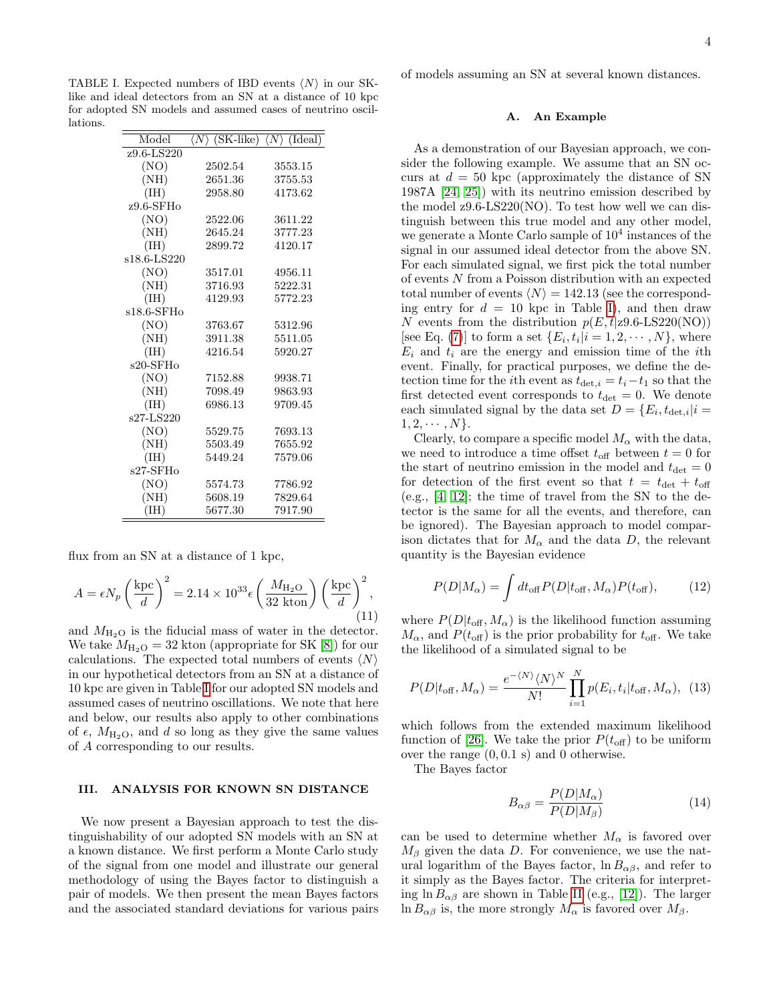<span id="page-3-1"></span>TABLE I. Expected numbers of IBD events  $\langle N \rangle$  in our SKlike and ideal detectors from an SN at a distance of 10 kpc for adopted SN models and assumed cases of neutrino oscillations.

| Model        | $\langle N \rangle$ (SK-like) $\langle N \rangle$ (Ideal) |         |
|--------------|-----------------------------------------------------------|---------|
| z9.6-LS220   |                                                           |         |
| (NO)         | 2502.54                                                   | 3553.15 |
| (NH)         | 2651.36                                                   | 3755.53 |
| (HI)         | 2958.80                                                   | 4173.62 |
| $z9.6$ -SFHo |                                                           |         |
| (NO)         | 2522.06                                                   | 3611.22 |
| (NH)         | 2645.24                                                   | 3777.23 |
| (HH)         | 2899.72                                                   | 4120.17 |
| s18.6-LS220  |                                                           |         |
| (NO)         | 3517.01                                                   | 4956.11 |
| (NH)         | 3716.93                                                   | 5222.31 |
| (IH)         | 4129.93                                                   | 5772.23 |
| s18.6-SFHo   |                                                           |         |
| (NO)         | 3763.67                                                   | 5312.96 |
| (NH)         | 3911.38                                                   | 5511.05 |
| (IH)         | 4216.54                                                   | 5920.27 |
| s20-SFHo     |                                                           |         |
| (NO)         | 7152.88                                                   | 9938.71 |
| (NH)         | 7098.49                                                   | 9863.93 |
| (IH)         | 6986.13                                                   | 9709.45 |
| s27-LS220    |                                                           |         |
| (NO)         | 5529.75                                                   | 7693.13 |
| (NH)         | 5503.49                                                   | 7655.92 |
| (HH)         | 5449.24                                                   | 7579.06 |
| s27-SFHo     |                                                           |         |
| (NO)         | 5574.73                                                   | 7786.92 |
| (NH)         | 5608.19                                                   | 7829.64 |
| (HH)         | 5677.30                                                   | 7917.90 |

flux from an SN at a distance of 1 kpc,

<span id="page-3-3"></span>
$$
A = \epsilon N_p \left(\frac{\text{kpc}}{d}\right)^2 = 2.14 \times 10^{33} \epsilon \left(\frac{M_{\text{H}_2\text{O}}}{32 \text{ kton}}\right) \left(\frac{\text{kpc}}{d}\right)^2,
$$
\n(11)

and  $M_{\text{H}_2\text{O}}$  is the fiducial mass of water in the detector. We take  $M_{\text{H}_2\text{O}} = 32$  kton (appropriate for SK [\[8\]](#page-8-7)) for our calculations. The expected total numbers of events  $\langle N \rangle$ in our hypothetical detectors from an SN at a distance of 10 kpc are given in Table [I](#page-3-1) for our adopted SN models and assumed cases of neutrino oscillations. We note that here and below, our results also apply to other combinations of  $\epsilon$ ,  $M_{\text{H}_2\text{O}}$ , and d so long as they give the same values of A corresponding to our results.

# <span id="page-3-0"></span>III. ANALYSIS FOR KNOWN SN DISTANCE

We now present a Bayesian approach to test the distinguishability of our adopted SN models with an SN at a known distance. We first perform a Monte Carlo study of the signal from one model and illustrate our general methodology of using the Bayes factor to distinguish a pair of models. We then present the mean Bayes factors and the associated standard deviations for various pairs of models assuming an SN at several known distances.

# <span id="page-3-2"></span>A. An Example

As a demonstration of our Bayesian approach, we consider the following example. We assume that an SN occurs at  $d = 50$  kpc (approximately the distance of SN 1987A [\[24,](#page-10-5) [25\]](#page-10-6)) with its neutrino emission described by the model z9.6-LS220(NO). To test how well we can distinguish between this true model and any other model, we generate a Monte Carlo sample of  $10<sup>4</sup>$  instances of the signal in our assumed ideal detector from the above SN. For each simulated signal, we first pick the total number of events N from a Poisson distribution with an expected total number of events  $\langle N \rangle = 142.13$  (see the corresponding entry for  $d = 10$  kpc in Table [I\)](#page-3-1), and then draw N events from the distribution  $p(E, t|z9.6\text{-L}S220(\text{NO}))$ [see Eq. [\(7\)](#page-2-1)] to form a set  $\{E_i, t_i | i = 1, 2, \cdots, N\}$ , where  $E_i$  and  $t_i$  are the energy and emission time of the *i*th event. Finally, for practical purposes, we define the detection time for the *i*th event as  $t_{\text{det},i} = t_i - t_1$  so that the first detected event corresponds to  $t_{\text{det}} = 0$ . We denote each simulated signal by the data set  $D = \{E_i, t_{\det,i}|i =$  $1, 2, \cdots, N$ .

Clearly, to compare a specific model  $M_{\alpha}$  with the data, we need to introduce a time offset  $t_{\text{off}}$  between  $t = 0$  for the start of neutrino emission in the model and  $t_{\text{det}} = 0$ for detection of the first event so that  $t = t_{\text{det}} + t_{\text{off}}$  $(e.g., [4, 12];$  $(e.g., [4, 12];$  $(e.g., [4, 12];$  $(e.g., [4, 12];$  the time of travel from the SN to the detector is the same for all the events, and therefore, can be ignored). The Bayesian approach to model comparison dictates that for  $M_{\alpha}$  and the data D, the relevant quantity is the Bayesian evidence

$$
P(D|M_{\alpha}) = \int dt_{\text{off}} P(D|t_{\text{off}}, M_{\alpha}) P(t_{\text{off}}), \quad (12)
$$

where  $P(D|t_{\text{off}}, M_{\alpha})$  is the likelihood function assuming  $M_{\alpha}$ , and  $P(t_{\text{off}})$  is the prior probability for  $t_{\text{off}}$ . We take the likelihood of a simulated signal to be

$$
P(D|t_{\text{off}}, M_{\alpha}) = \frac{e^{-\langle N \rangle} \langle N \rangle^N}{N!} \prod_{i=1}^{N} p(E_i, t_i | t_{\text{off}}, M_{\alpha}), \tag{13}
$$

which follows from the extended maximum likelihood function of [\[26\]](#page-10-7). We take the prior  $P(t_{\text{off}})$  to be uniform over the range  $(0, 0.1 \text{ s})$  and 0 otherwise.

The Bayes factor

$$
B_{\alpha\beta} = \frac{P(D|M_{\alpha})}{P(D|M_{\beta})}
$$
\n(14)

can be used to determine whether  $M_{\alpha}$  is favored over  $M_{\beta}$  given the data D. For convenience, we use the natural logarithm of the Bayes factor,  $\ln B_{\alpha\beta}$ , and refer to it simply as the Bayes factor. The criteria for interpreting ln  $B_{\alpha\beta}$  are shown in Table [II](#page-4-0) (e.g., [\[12\]](#page-8-11)). The larger ln  $B_{\alpha\beta}$  is, the more strongly  $M_{\alpha}$  is favored over  $M_{\beta}$ .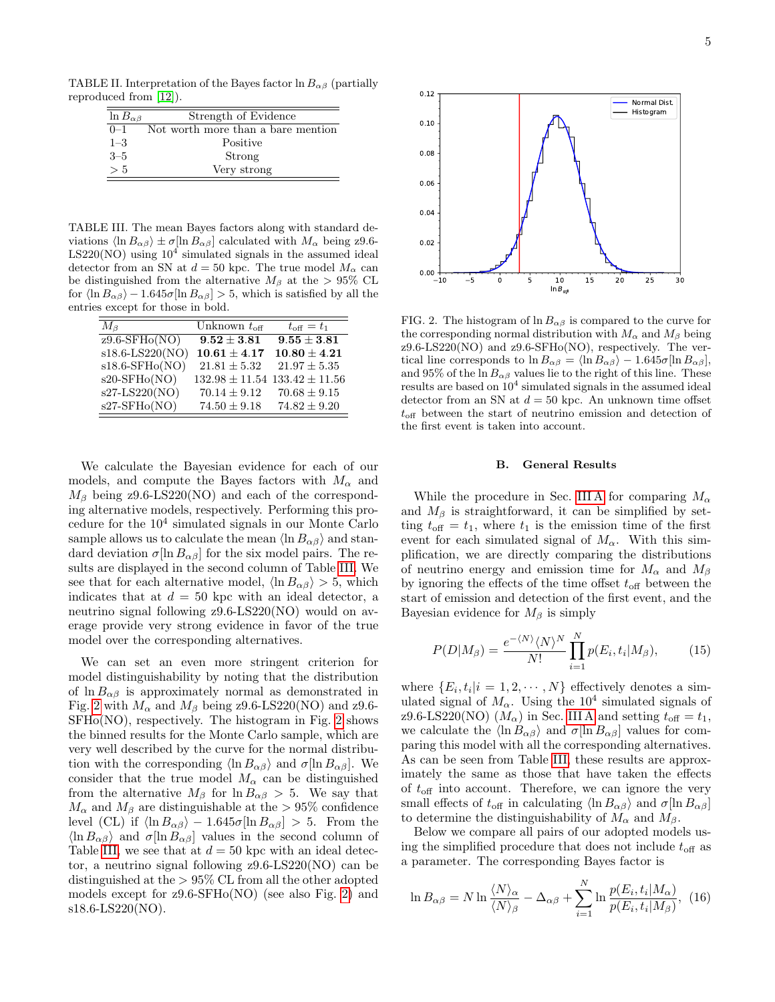TABLE II. Interpretation of the Bayes factor  $\ln B_{\alpha\beta}$  (partially reproduced from [\[12\]](#page-8-11)).

<span id="page-4-0"></span>

| $\ln B_{\alpha\beta}$ | Strength of Evidence               |
|-----------------------|------------------------------------|
| $0 - 1$               | Not worth more than a bare mention |
| $1 - 3$               | Positive                           |
| $3 - 5$               | Strong                             |
| > 5                   | Very strong                        |

<span id="page-4-1"></span>TABLE III. The mean Bayes factors along with standard deviations  $\langle \ln B_{\alpha\beta} \rangle \pm \sigma [\ln B_{\alpha\beta}]$  calculated with  $M_{\alpha}$  being z9.6- $LS220(NO)$  using  $10<sup>4</sup>$  simulated signals in the assumed ideal detector from an SN at  $d = 50$  kpc. The true model  $M_{\alpha}$  can be distinguished from the alternative  $M_\beta$  at the > 95% CL for  $\langle \ln B_{\alpha\beta} \rangle - 1.645\sigma[\ln B_{\alpha\beta}] > 5$ , which is satisfied by all the entries except for those in bold.

| $M_{\beta}$                              | Unknown $t_{\text{off}}$ | $t_{\text{off}}=t_1$                  |
|------------------------------------------|--------------------------|---------------------------------------|
| $\overline{z9.6}$ -SFH <sub>o</sub> (NO) | $9.52 \pm 3.81$          | $9.55 \pm 3.81$                       |
| s18.6-LS220(NO)                          | $10.61 \pm 4.17$         | $10.80 \pm 4.21$                      |
| $s18.6$ -SFHo(NO)                        | $21.81 \pm 5.32$         | $21.97 \pm 5.35$                      |
| $s20-SFHo(NO)$                           |                          | $132.98 \pm 11.54$ $133.42 \pm 11.56$ |
| s27-LS220(NO)                            | $70.14 \pm 9.12$         | $70.68 \pm 9.15$                      |
| s27-SFH <sub>o</sub> (NO)                | $74.50 \pm 9.18$         | $74.82 \pm 9.20$                      |

We calculate the Bayesian evidence for each of our models, and compute the Bayes factors with  $M_{\alpha}$  and  $M_{\beta}$  being z9.6-LS220(NO) and each of the corresponding alternative models, respectively. Performing this procedure for the 10<sup>4</sup> simulated signals in our Monte Carlo sample allows us to calculate the mean  $\langle \ln B_{\alpha\beta} \rangle$  and standard deviation  $\sigma[\ln B_{\alpha\beta}]$  for the six model pairs. The results are displayed in the second column of Table [III.](#page-4-1) We see that for each alternative model,  $\langle \ln B_{\alpha\beta} \rangle > 5$ , which indicates that at  $d = 50$  kpc with an ideal detector, a neutrino signal following z9.6-LS220(NO) would on average provide very strong evidence in favor of the true model over the corresponding alternatives.

We can set an even more stringent criterion for model distinguishability by noting that the distribution of  $\ln B_{\alpha\beta}$  is approximately normal as demonstrated in Fig. [2](#page-4-2) with  $M_{\alpha}$  and  $M_{\beta}$  being z9.6-LS220(NO) and z9.6-SFHo(NO), respectively. The histogram in Fig. [2](#page-4-2) shows the binned results for the Monte Carlo sample, which are very well described by the curve for the normal distribution with the corresponding  $\langle \ln B_{\alpha\beta} \rangle$  and  $\sigma[\ln B_{\alpha\beta}]$ . We consider that the true model  $M_{\alpha}$  can be distinguished from the alternative  $M_\beta$  for  $\ln B_{\alpha\beta} > 5$ . We say that  $M_{\alpha}$  and  $M_{\beta}$  are distinguishable at the > 95% confidence level (CL) if  $\langle \ln B_{\alpha\beta} \rangle - 1.645\sigma[\ln B_{\alpha\beta}] > 5$ . From the  $\ln B_{\alpha\beta}$  and  $\sigma[\ln B_{\alpha\beta}]$  values in the second column of Table [III,](#page-4-1) we see that at  $d = 50$  kpc with an ideal detector, a neutrino signal following z9.6-LS220(NO) can be distinguished at the > 95% CL from all the other adopted models except for z9.6-SFHo(NO) (see also Fig. [2\)](#page-4-2) and s18.6-LS220(NO).



<span id="page-4-2"></span>FIG. 2. The histogram of  $\ln B_{\alpha\beta}$  is compared to the curve for the corresponding normal distribution with  $M_{\alpha}$  and  $M_{\beta}$  being z9.6-LS220(NO) and z9.6-SFHo(NO), respectively. The vertical line corresponds to  $\ln B_{\alpha\beta} = \langle \ln B_{\alpha\beta} \rangle - 1.645\sigma[\ln B_{\alpha\beta}],$ and 95% of the ln  $B_{\alpha\beta}$  values lie to the right of this line. These results are based on  $10^4$  simulated signals in the assumed ideal detector from an SN at  $d = 50$  kpc. An unknown time offset  $t_{\text{off}}$  between the start of neutrino emission and detection of the first event is taken into account.

# <span id="page-4-3"></span>B. General Results

While the procedure in Sec. [III A](#page-3-2) for comparing  $M_{\alpha}$ and  $M_\beta$  is straightforward, it can be simplified by setting  $t_{\text{off}} = t_1$ , where  $t_1$  is the emission time of the first event for each simulated signal of  $M_{\alpha}$ . With this simplification, we are directly comparing the distributions of neutrino energy and emission time for  $M_{\alpha}$  and  $M_{\beta}$ by ignoring the effects of the time offset  $t_{\text{off}}$  between the start of emission and detection of the first event, and the Bayesian evidence for  $M_\beta$  is simply

$$
P(D|M_{\beta}) = \frac{e^{-\langle N \rangle} \langle N \rangle^N}{N!} \prod_{i=1}^{N} p(E_i, t_i | M_{\beta}), \qquad (15)
$$

where  $\{E_i, t_i | i = 1, 2, \cdots, N\}$  effectively denotes a simulated signal of  $M_{\alpha}$ . Using the 10<sup>4</sup> simulated signals of z9.6-LS220(NO)  $(M_{\alpha})$  in Sec. [III A](#page-3-2) and setting  $t_{\text{off}} = t_1$ , we calculate the  $\langle \ln B_{\alpha\beta} \rangle$  and  $\sigma[\ln B_{\alpha\beta}]$  values for comparing this model with all the corresponding alternatives. As can be seen from Table [III,](#page-4-1) these results are approximately the same as those that have taken the effects of  $t_{\text{off}}$  into account. Therefore, we can ignore the very small effects of  $t_{\text{off}}$  in calculating  $\langle \ln B_{\alpha\beta} \rangle$  and  $\sigma[\ln B_{\alpha\beta}]$ to determine the distinguishability of  $M_{\alpha}$  and  $M_{\beta}$ .

Below we compare all pairs of our adopted models using the simplified procedure that does not include  $t_{\text{off}}$  as a parameter. The corresponding Bayes factor is

$$
\ln B_{\alpha\beta} = N \ln \frac{\langle N \rangle_{\alpha}}{\langle N \rangle_{\beta}} - \Delta_{\alpha\beta} + \sum_{i=1}^{N} \ln \frac{p(E_i, t_i | M_{\alpha})}{p(E_i, t_i | M_{\beta})}, \tag{16}
$$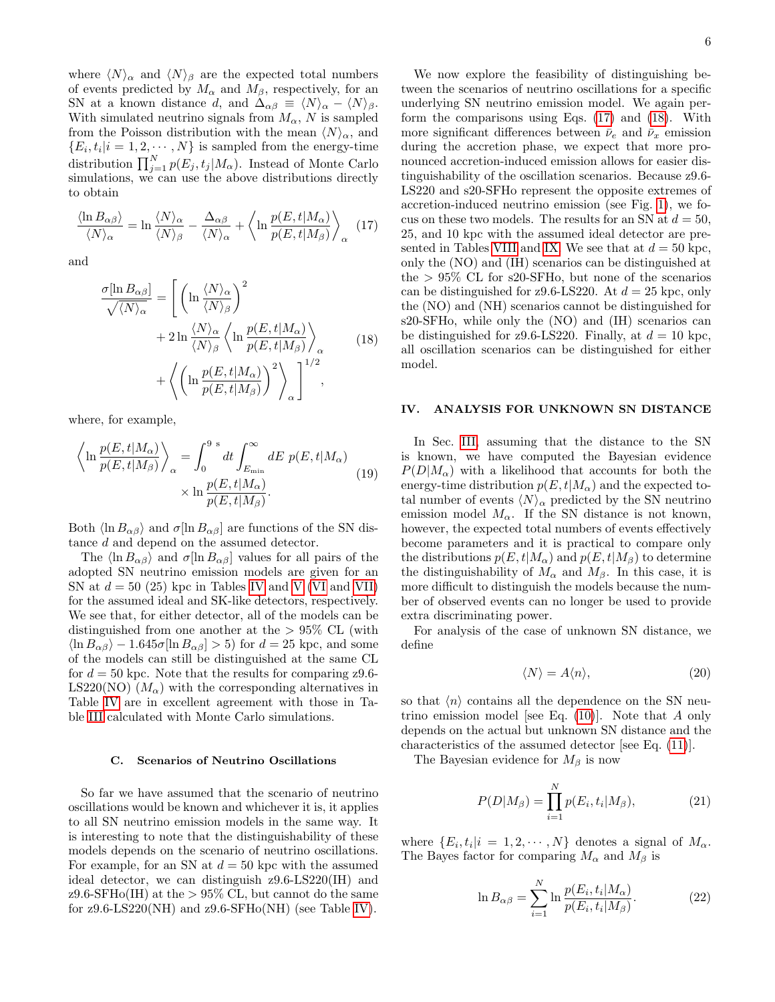where  $\langle N \rangle_{\alpha}$  and  $\langle N \rangle_{\beta}$  are the expected total numbers of events predicted by  $M_{\alpha}$  and  $M_{\beta}$ , respectively, for an SN at a known distance d, and  $\Delta_{\alpha\beta} \equiv \langle N \rangle_{\alpha} - \langle N \rangle_{\beta}$ . With simulated neutrino signals from  $M_{\alpha}$ , N is sampled from the Poisson distribution with the mean  $\langle N \rangle_{\alpha}$ , and  $\{E_i, t_i | i = 1, 2, \cdots, N\}$  is sampled from the energy-time distribution  $\prod_{j=1}^{N} p(E_j, t_j | M_\alpha)$ . Instead of Monte Carlo simulations, we can use the above distributions directly to obtain

<span id="page-5-1"></span>
$$
\frac{\langle \ln B_{\alpha\beta} \rangle}{\langle N \rangle_{\alpha}} = \ln \frac{\langle N \rangle_{\alpha}}{\langle N \rangle_{\beta}} - \frac{\Delta_{\alpha\beta}}{\langle N \rangle_{\alpha}} + \left\langle \ln \frac{p(E, t | M_{\alpha})}{p(E, t | M_{\beta})} \right\rangle_{\alpha} \quad (17)
$$

and

<span id="page-5-2"></span>
$$
\frac{\sigma[\ln B_{\alpha\beta}]}{\sqrt{\langle N\rangle_{\alpha}}} = \left[ \left( \ln \frac{\langle N\rangle_{\alpha}}{\langle N\rangle_{\beta}} \right)^2 + 2 \ln \frac{\langle N\rangle_{\alpha}}{\langle N\rangle_{\beta}} \left\langle \ln \frac{p(E, t|M_{\alpha})}{p(E, t|M_{\beta})} \right\rangle_{\alpha} + \left\langle \left( \ln \frac{p(E, t|M_{\alpha})}{p(E, t|M_{\beta})} \right)^2 \right\rangle_{\alpha} \right]^{1/2},
$$
\n(18)

where, for example,

$$
\left\langle \ln \frac{p(E, t | M_{\alpha})}{p(E, t | M_{\beta})} \right\rangle_{\alpha} = \int_{0}^{9 \text{ s}} dt \int_{E_{\text{min}}}^{\infty} dE \ p(E, t | M_{\alpha})
$$
\n
$$
\times \ln \frac{p(E, t | M_{\alpha})}{p(E, t | M_{\beta})}.
$$
\n(19)

Both  $\langle \ln B_{\alpha\beta} \rangle$  and  $\sigma[\ln B_{\alpha\beta}]$  are functions of the SN distance d and depend on the assumed detector.

The  $\langle \ln B_{\alpha\beta} \rangle$  and  $\sigma[\ln B_{\alpha\beta}]$  values for all pairs of the adopted SN neutrino emission models are given for an SN at  $d = 50$  (25) kpc in Tables [IV](#page-6-0) and [V](#page-7-1) [\(VI](#page-8-14) and [VII\)](#page-9-3) for the assumed ideal and SK-like detectors, respectively. We see that, for either detector, all of the models can be distinguished from one another at the  $> 95\%$  CL (with  $\langle \ln B_{\alpha\beta} \rangle - 1.645\sigma[\ln B_{\alpha\beta}] > 5$  for  $d = 25$  kpc, and some of the models can still be distinguished at the same CL for  $d = 50$  kpc. Note that the results for comparing z9.6-LS220(NO)  $(M_{\alpha})$  with the corresponding alternatives in Table [IV](#page-6-0) are in excellent agreement with those in Table [III](#page-4-1) calculated with Monte Carlo simulations.

#### C. Scenarios of Neutrino Oscillations

So far we have assumed that the scenario of neutrino oscillations would be known and whichever it is, it applies to all SN neutrino emission models in the same way. It is interesting to note that the distinguishability of these models depends on the scenario of neutrino oscillations. For example, for an SN at  $d = 50$  kpc with the assumed ideal detector, we can distinguish z9.6-LS220(IH) and  $z9.6\text{-}SFHo(IH)$  at the  $> 95\%$  CL, but cannot do the same for  $z9.6$ -LS220(NH) and  $z9.6$ -SFH $o(NH)$  (see Table [IV\)](#page-6-0).

We now explore the feasibility of distinguishing between the scenarios of neutrino oscillations for a specific underlying SN neutrino emission model. We again perform the comparisons using Eqs. [\(17\)](#page-5-1) and [\(18\)](#page-5-2). With more significant differences between  $\bar{\nu}_e$  and  $\bar{\nu}_x$  emission during the accretion phase, we expect that more pronounced accretion-induced emission allows for easier distinguishability of the oscillation scenarios. Because z9.6- LS220 and s20-SFHo represent the opposite extremes of accretion-induced neutrino emission (see Fig. [1\)](#page-2-0), we focus on these two models. The results for an SN at  $d = 50$ , 25, and 10 kpc with the assumed ideal detector are pre-sented in Tables [VIII](#page-9-4) and [IX.](#page-9-5) We see that at  $d = 50$  kpc, only the (NO) and (IH) scenarios can be distinguished at the  $> 95\%$  CL for s20-SFHo, but none of the scenarios can be distinguished for z9.6-LS220. At  $d = 25$  kpc, only the (NO) and (NH) scenarios cannot be distinguished for s20-SFHo, while only the (NO) and (IH) scenarios can be distinguished for  $z9.6$ -LS220. Finally, at  $d = 10$  kpc, all oscillation scenarios can be distinguished for either model.

### <span id="page-5-0"></span>IV. ANALYSIS FOR UNKNOWN SN DISTANCE

In Sec. [III,](#page-3-0) assuming that the distance to the SN is known, we have computed the Bayesian evidence  $P(D|M_{\alpha})$  with a likelihood that accounts for both the energy-time distribution  $p(E, t|M_{\alpha})$  and the expected total number of events  $\langle N \rangle_{\alpha}$  predicted by the SN neutrino emission model  $M_{\alpha}$ . If the SN distance is not known, however, the expected total numbers of events effectively become parameters and it is practical to compare only the distributions  $p(E, t|M_{\alpha})$  and  $p(E, t|M_{\beta})$  to determine the distinguishability of  $M_{\alpha}$  and  $M_{\beta}$ . In this case, it is more difficult to distinguish the models because the number of observed events can no longer be used to provide extra discriminating power.

For analysis of the case of unknown SN distance, we define

$$
\langle N \rangle = A \langle n \rangle, \tag{20}
$$

so that  $\langle n \rangle$  contains all the dependence on the SN neutrino emission model [see Eq.  $(10)$ ]. Note that A only depends on the actual but unknown SN distance and the characteristics of the assumed detector [see Eq. [\(11\)](#page-3-3)].

The Bayesian evidence for  $M_\beta$  is now

$$
P(D|M_{\beta}) = \prod_{i=1}^{N} p(E_i, t_i | M_{\beta}), \qquad (21)
$$

where  $\{E_i, t_i | i = 1, 2, \cdots, N\}$  denotes a signal of  $M_{\alpha}$ . The Bayes factor for comparing  $M_{\alpha}$  and  $M_{\beta}$  is

$$
\ln B_{\alpha\beta} = \sum_{i=1}^{N} \ln \frac{p(E_i, t_i | M_{\alpha})}{p(E_i, t_i | M_{\beta})}.
$$
 (22)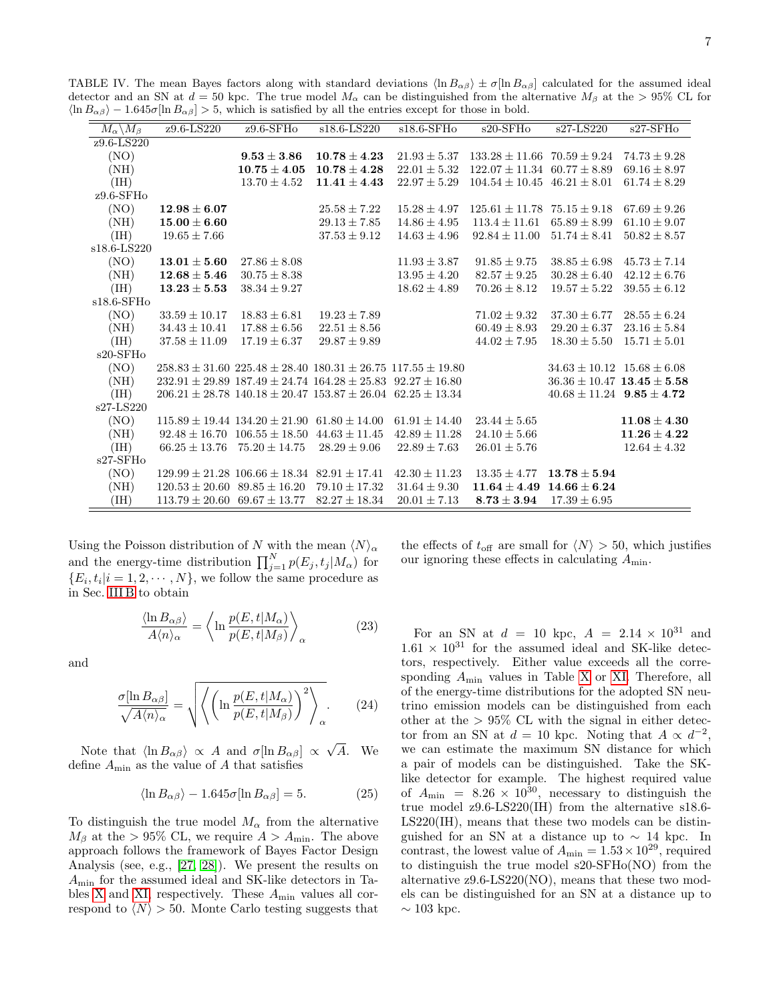<span id="page-6-0"></span>

| $\langle \ln B_{\alpha\beta} \rangle - 1.645\sigma [\ln B_{\alpha\beta}] > 5$ , which is satisfied by all the entries except for those in bold. |                                      |                                                         |                                                                             |                   |                                     |                                    |                  |
|-------------------------------------------------------------------------------------------------------------------------------------------------|--------------------------------------|---------------------------------------------------------|-----------------------------------------------------------------------------|-------------------|-------------------------------------|------------------------------------|------------------|
| $M_{\alpha} \backslash M_{\beta}$                                                                                                               | $z9.6 - LS220$                       | $29.6$ -SFHo                                            | $s18.6 - LS220$                                                             | $s18.6$ -SFHo     | $s20$ -SFH $o$                      | $s27-LS220$                        | $s27-SFHo$       |
| $z9.6 - LS220$                                                                                                                                  |                                      |                                                         |                                                                             |                   |                                     |                                    |                  |
| (NO)                                                                                                                                            |                                      | $9.53 \pm 3.86$                                         | $10.78 \pm 4.23$                                                            | $21.93 \pm 5.37$  | $133.28 \pm 11.66$ 70.59 $\pm$ 9.24 |                                    | $74.73 \pm 9.28$ |
| (NH)                                                                                                                                            |                                      | $10.75 \pm 4.05$                                        | $10.78 \pm 4.28$                                                            | $22.01 \pm 5.32$  | $122.07 \pm 11.34$                  | $60.77 \pm 8.89$                   | $69.16 \pm 8.97$ |
| (IH)                                                                                                                                            |                                      | $13.70 \pm 4.52$                                        | $11.41 \pm 4.43$                                                            | $22.97 \pm 5.29$  | $104.54 \pm 10.45$ $46.21 \pm 8.01$ |                                    | $61.74 \pm 8.29$ |
| $z9.6$ -SFHo                                                                                                                                    |                                      |                                                         |                                                                             |                   |                                     |                                    |                  |
| (NO)                                                                                                                                            | $12.98 \pm 6.07$                     |                                                         | $25.58 \pm 7.22$                                                            | $15.28 \pm 4.97$  | $125.61 \pm 11.78$ $75.15 \pm 9.18$ |                                    | $67.69 \pm 9.26$ |
| (NH)                                                                                                                                            | $15.00\pm6.60$                       |                                                         | $29.13 \pm 7.85$                                                            | $14.86 \pm 4.95$  | $113.4 \pm 11.61$                   | $65.89 \pm 8.99$                   | $61.10 \pm 9.07$ |
| (IH)                                                                                                                                            | $19.65 \pm 7.66$                     |                                                         | $37.53 \pm 9.12$                                                            | $14.63 \pm 4.96$  | $92.84 \pm 11.00$                   | $51.74 \pm 8.41$                   | $50.82 \pm 8.57$ |
| s18.6-LS220                                                                                                                                     |                                      |                                                         |                                                                             |                   |                                     |                                    |                  |
| (NO)                                                                                                                                            | $13.01 \pm 5.60$                     | $27.86 \pm 8.08$                                        |                                                                             | $11.93 \pm 3.87$  | $91.85 \pm 9.75$                    | $38.85 \pm 6.98$                   | $45.73 \pm 7.14$ |
| (NH)                                                                                                                                            | $12.68 \pm 5.46$                     | $30.75 \pm 8.38$                                        |                                                                             | $13.95 \pm 4.20$  | $82.57 \pm 9.25$                    | $30.28 \pm 6.40$                   | $42.12 \pm 6.76$ |
| (IH)                                                                                                                                            | $13.23 \pm 5.53$                     | $38.34 \pm 9.27$                                        |                                                                             | $18.62 \pm 4.89$  | $70.26 \pm 8.12$                    | $19.57 \pm 5.22$                   | $39.55 \pm 6.12$ |
| $s18.6$ -SFHo                                                                                                                                   |                                      |                                                         |                                                                             |                   |                                     |                                    |                  |
| (NO)                                                                                                                                            | $33.59 \pm 10.17$                    | $18.83 \pm 6.81$                                        | $19.23 \pm 7.89$                                                            |                   | $71.02 \pm 9.32$                    | $37.30 \pm 6.77$                   | $28.55 \pm 6.24$ |
| (NH)                                                                                                                                            | $34.43 \pm 10.41$                    | $17.88 \pm 6.56$                                        | $22.51 \pm 8.56$                                                            |                   | $60.49 \pm 8.93$                    | $29.20 \pm 6.37$                   | $23.16 \pm 5.84$ |
| (HI)                                                                                                                                            | $37.58 \pm 11.09$                    | $17.19 \pm 6.37$                                        | $29.87 \pm 9.89$                                                            |                   | $44.02 \pm 7.95$                    | $18.30 \pm 5.50$                   | $15.71 \pm 5.01$ |
| $s20$ -SFH $o$                                                                                                                                  |                                      |                                                         |                                                                             |                   |                                     |                                    |                  |
| (NO)                                                                                                                                            |                                      |                                                         | $258.83 \pm 31.60$ $225.48 \pm 28.40$ $180.31 \pm 26.75$ $117.55 \pm 19.80$ |                   |                                     | $34.63 \pm 10.12$ $15.68 \pm 6.08$ |                  |
| (NH)                                                                                                                                            |                                      |                                                         | $232.91 \pm 29.89$ $187.49 \pm 24.74$ $164.28 \pm 25.83$ $92.27 \pm 16.80$  |                   |                                     | $36.36 \pm 10.47$ 13.45 $\pm$ 5.58 |                  |
| (HI)                                                                                                                                            |                                      |                                                         | $206.21 \pm 28.78$ 140.18 $\pm$ 20.47 153.87 $\pm$ 26.04 62.25 $\pm$ 13.34  |                   |                                     | $40.68 \pm 11.24$ $9.85 \pm 4.72$  |                  |
| s27-LS220                                                                                                                                       |                                      |                                                         |                                                                             |                   |                                     |                                    |                  |
| (NO)                                                                                                                                            |                                      | $115.89 \pm 19.44$ $134.20 \pm 21.90$ $61.80 \pm 14.00$ |                                                                             | $61.91 \pm 14.40$ | $23.44 \pm 5.65$                    |                                    | $11.08 \pm 4.30$ |
| (NH)                                                                                                                                            |                                      | $92.48 \pm 16.70$ $106.55 \pm 18.50$                    | $44.63 \pm 11.45$                                                           | $42.89 \pm 11.28$ | $24.10 \pm 5.66$                    |                                    | $11.26 \pm 4.22$ |
| (III)                                                                                                                                           |                                      | $66.25 \pm 13.76$ $75.20 \pm 14.75$                     | $28.29 \pm 9.06$                                                            | $22.89 \pm 7.63$  | $26.01 \pm 5.76$                    |                                    | $12.64 \pm 4.32$ |
| $s27-SFHo$                                                                                                                                      |                                      |                                                         |                                                                             |                   |                                     |                                    |                  |
| (NO)                                                                                                                                            |                                      | $129.99 \pm 21.28$ 106.66 $\pm$ 18.34                   | $82.91 \pm 17.41$                                                           | $42.30 \pm 11.23$ | $13.35 \pm 4.77$                    | $13.78 \pm 5.94$                   |                  |
| (NH)                                                                                                                                            | $120.53 \pm 20.60$ 89.85 $\pm$ 16.20 |                                                         | $79.10 \pm 17.32$                                                           | $31.64 \pm 9.30$  | $11.64 \pm 4.49$                    | $14.66 \pm 6.24$                   |                  |
| (IH)                                                                                                                                            | $113.79 \pm 20.60$ 69.67 $\pm$ 13.77 |                                                         | $82.27 \pm 18.34$                                                           | $20.01 \pm 7.13$  | $8.73 \pm 3.94$                     | $17.39 \pm 6.95$                   |                  |

Using the Poisson distribution of N with the mean  $\langle N \rangle_{\alpha}$ and the energy-time distribution  $\prod_{j=1}^{N} p(E_j, t_j | M_\alpha)$  for  $\{E_i, t_i | i = 1, 2, \cdots, N\}$ , we follow the same procedure as in Sec. [III B](#page-4-3) to obtain

$$
\frac{\langle \ln B_{\alpha\beta} \rangle}{A \langle n \rangle_{\alpha}} = \left\langle \ln \frac{p(E, t | M_{\alpha})}{p(E, t | M_{\beta})} \right\rangle_{\alpha} \tag{23}
$$

and

$$
\frac{\sigma[\ln B_{\alpha\beta}]}{\sqrt{A\langle n\rangle_{\alpha}}} = \sqrt{\left\langle \left( \ln \frac{p(E, t|M_{\alpha})}{p(E, t|M_{\beta})} \right)^2 \right\rangle_{\alpha}}.
$$
 (24)

Note that  $\langle \ln B_{\alpha\beta} \rangle \propto A$  and  $\sigma[\ln B_{\alpha\beta}] \propto \frac{A}{\sqrt{2\pi}}$ √ A. We define  $A_{\text{min}}$  as the value of  $A$  that satisfies

$$
\langle \ln B_{\alpha\beta} \rangle - 1.645\sigma [\ln B_{\alpha\beta}] = 5. \tag{25}
$$

To distinguish the true model  $M_{\alpha}$  from the alternative  $M_\beta$  at the > 95% CL, we require  $A > A_{\text{min}}$ . The above approach follows the framework of Bayes Factor Design Analysis (see, e.g., [\[27,](#page-10-8) [28\]](#page-10-9)). We present the results on Amin for the assumed ideal and SK-like detectors in Ta-bles [X](#page-10-10) and [XI,](#page-11-0) respectively. These  $A_{\text{min}}$  values all correspond to  $\langle N \rangle > 50$ . Monte Carlo testing suggests that the effects of  $t_{\text{off}}$  are small for  $\langle N \rangle > 50$ , which justifies our ignoring these effects in calculating  $A_{\min}$ .

For an SN at  $d = 10$  kpc,  $A = 2.14 \times 10^{31}$  and  $1.61 \times 10^{31}$  for the assumed ideal and SK-like detectors, respectively. Either value exceeds all the corresponding Amin values in Table [X](#page-10-10) or [XI.](#page-11-0) Therefore, all of the energy-time distributions for the adopted SN neutrino emission models can be distinguished from each other at the  $> 95\%$  CL with the signal in either detector from an SN at  $d = 10$  kpc. Noting that  $A \propto d^{-2}$ , we can estimate the maximum SN distance for which a pair of models can be distinguished. Take the SKlike detector for example. The highest required value of  $A_{\text{min}} = 8.26 \times 10^{30}$ , necessary to distinguish the true model z9.6-LS220(IH) from the alternative s18.6- LS220(IH), means that these two models can be distinguished for an SN at a distance up to  $\sim$  14 kpc. In contrast, the lowest value of  $A_{\text{min}} = 1.53 \times 10^{29}$ , required to distinguish the true model s20-SFHo(NO) from the alternative z9.6-LS220(NO), means that these two models can be distinguished for an SN at a distance up to  $\sim$  103 kpc.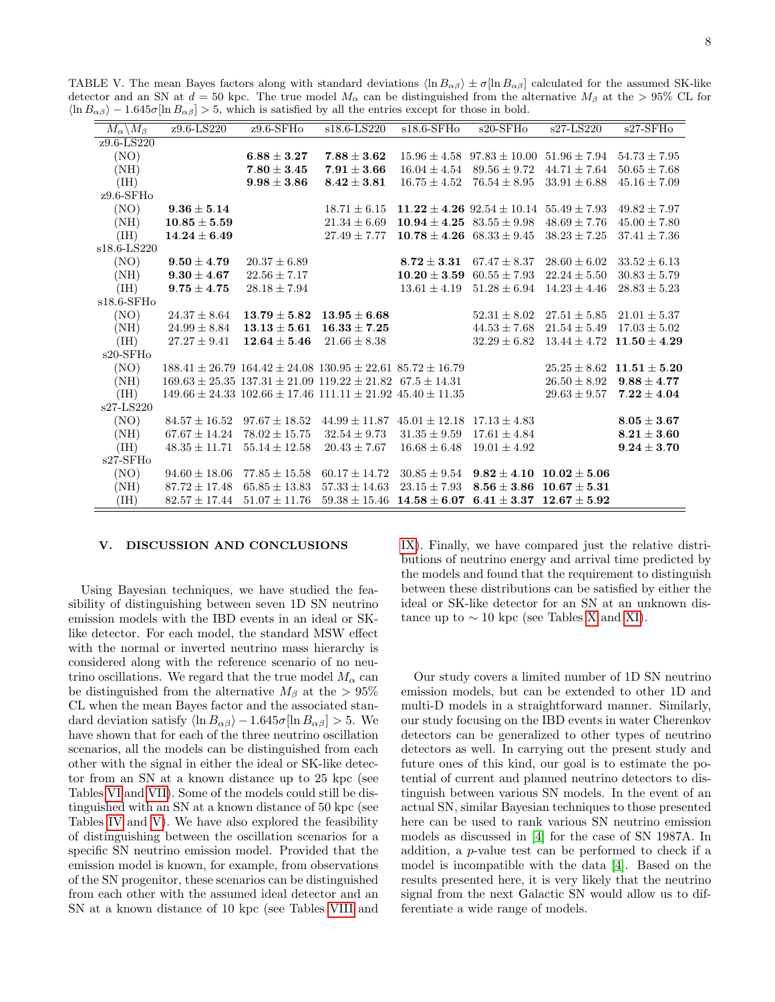<span id="page-7-1"></span>

| $M_{\alpha} \backslash M_{\beta}$ | z9.6-LS220        | $z9.6$ -SFH $o$   | s18.6-LS220                                                                | $s18.6-SFHO$                      | $s20-$ SFH $o$                     | $s27-LS220$                      | $s27-SFHo$       |
|-----------------------------------|-------------------|-------------------|----------------------------------------------------------------------------|-----------------------------------|------------------------------------|----------------------------------|------------------|
| z9.6-LS220                        |                   |                   |                                                                            |                                   |                                    |                                  |                  |
| (NO)                              |                   | $6.88 \pm 3.27$   | $7.88 \pm 3.62$                                                            |                                   | $15.96 \pm 4.58$ $97.83 \pm 10.00$ | $51.96 \pm 7.94$                 | $54.73 \pm 7.95$ |
| (NH)                              |                   | $7.80 \pm 3.45$   | $7.91 \pm 3.66$                                                            | $16.04 \pm 4.54$                  | $89.56 \pm 9.72$                   | $44.71 \pm 7.64$                 | $50.65 \pm 7.68$ |
| (IH)                              |                   | $9.98 \pm 3.86$   | $8.42 \pm 3.81$                                                            | $16.75 \pm 4.52$                  | $76.54 \pm 8.95$                   | $33.91 \pm 6.88$                 | $45.16 \pm 7.09$ |
| $z9.6$ -SFHo                      |                   |                   |                                                                            |                                   |                                    |                                  |                  |
| (NO)                              | $9.36 \pm 5.14$   |                   | $18.71 \pm 6.15$                                                           |                                   | $11.22 \pm 4.26$ $92.54 \pm 10.14$ | $55.49 \pm 7.93$                 | $49.82 \pm 7.97$ |
| (NH)                              | $10.85 \pm 5.59$  |                   | $21.34 \pm 6.69$                                                           | $10.94 \pm 4.25$ $83.55 \pm 9.98$ |                                    | $48.69 \pm 7.76$                 | $45.00 \pm 7.80$ |
|                                   | $14.24 \pm 6.49$  |                   | $27.49 \pm 7.77$                                                           | $10.78 \pm 4.26$                  | $68.33 \pm 9.45$                   | $38.23 \pm 7.25$                 | $37.41 \pm 7.36$ |
| (IH)<br>s18.6-LS220               |                   |                   |                                                                            |                                   |                                    |                                  |                  |
|                                   |                   |                   |                                                                            |                                   |                                    |                                  |                  |
| (NO)                              | $9.50 \pm 4.79$   | $20.37 \pm 6.89$  |                                                                            | $8.72 + 3.31$                     | $67.47 \pm 8.37$                   | $28.60 \pm 6.02$                 | $33.52 \pm 6.13$ |
| (NH)                              | $9.30 \pm 4.67$   | $22.56 \pm 7.17$  |                                                                            | $10.20 \pm 3.59$                  | $60.55 \pm 7.93$                   | $22.24 \pm 5.50$                 | $30.83 \pm 5.79$ |
| (IH)                              | $9.75 \pm 4.75$   | $28.18 \pm 7.94$  |                                                                            | $13.61 \pm 4.19$                  | $51.28 \pm 6.94$                   | $14.23 \pm 4.46$                 | $28.83 \pm 5.23$ |
| $s18.6$ -SFHo                     |                   |                   |                                                                            |                                   |                                    |                                  |                  |
| (NO)                              | $24.37 \pm 8.64$  | $13.79 \pm 5.82$  | $13.95 + 6.68$                                                             |                                   | $52.31 \pm 8.02$                   | $27.51 \pm 5.85$                 | $21.01 \pm 5.37$ |
| (NH)                              | $24.99 \pm 8.84$  | $13.13 \pm 5.61$  | $16.33 \pm 7.25$                                                           |                                   | $44.53 \pm 7.68$                   | $21.54 \pm 5.49$                 | $17.03 \pm 5.02$ |
| (IH)                              | $27.27 \pm 9.41$  | $12.64 \pm 5.46$  | $21.66 \pm 8.38$                                                           |                                   | $32.29 \pm 6.82$                   | $13.44 \pm 4.72$                 | $11.50 \pm 4.29$ |
| $s20$ -SFH $o$                    |                   |                   |                                                                            |                                   |                                    |                                  |                  |
| (NO)                              |                   |                   | $188.41 \pm 26.79$ $164.42 \pm 24.08$ $130.95 \pm 22.61$ $85.72 \pm 16.79$ |                                   |                                    | $25.25 \pm 8.62$                 | $11.51 \pm 5.20$ |
| (NH)                              |                   |                   | $169.63 \pm 25.35$ $137.31 \pm 21.09$ $119.22 \pm 21.82$ $67.5 \pm 14.31$  |                                   |                                    | $26.50 \pm 8.92$                 | $9.88 \pm 4.77$  |
| (III)                             |                   |                   | $149.66 \pm 24.33$ $102.66 \pm 17.46$ $111.11 \pm 21.92$ $45.40 \pm 11.35$ |                                   |                                    | $29.63 \pm 9.57$                 | $7.22 \pm 4.04$  |
| s27-LS220                         |                   |                   |                                                                            |                                   |                                    |                                  |                  |
| (NO)                              | $84.57 \pm 16.52$ | $97.67 \pm 18.52$ | $44.99 \pm 11.87$                                                          | $45.01 \pm 12.18$                 | $17.13 \pm 4.83$                   |                                  | $8.05 \pm 3.67$  |
| (NH)                              | $67.67 \pm 14.24$ | $78.02 \pm 15.75$ | $32.54 \pm 9.73$                                                           | $31.35 \pm 9.59$                  | $17.61 \pm 4.84$                   |                                  | $8.21 \pm 3.60$  |
| (IH)                              | $48.35 \pm 11.71$ | $55.14 \pm 12.58$ | $20.43 \pm 7.67$                                                           | $16.68 \pm 6.48$                  | $19.01 \pm 4.92$                   |                                  | $9.24 \pm 3.70$  |
| $s27-SFHo$                        |                   |                   |                                                                            |                                   |                                    |                                  |                  |
| (NO)                              | $94.60 \pm 18.06$ | $77.85 \pm 15.58$ | $60.17 \pm 14.72$                                                          | $30.85 \pm 9.54$                  | $9.82 + 4.10$                      | $10.02 + 5.06$                   |                  |
| (NH)                              | $87.72 \pm 17.48$ | $65.85 \pm 13.83$ | $57.33 \pm 14.63$                                                          | $23.15 \pm 7.93$                  | $8.56 \pm 3.86$                    | $10.67 \pm 5.31$                 |                  |
| (HH)                              | $82.57 \pm 17.44$ | $51.07 \pm 11.76$ | $59.38 \pm 15.46$                                                          | $14.58 \pm 6.07$                  |                                    | $6.41 \pm 3.37$ $12.67 \pm 5.92$ |                  |

## <span id="page-7-0"></span>V. DISCUSSION AND CONCLUSIONS

Using Bayesian techniques, we have studied the feasibility of distinguishing between seven 1D SN neutrino emission models with the IBD events in an ideal or SKlike detector. For each model, the standard MSW effect with the normal or inverted neutrino mass hierarchy is considered along with the reference scenario of no neutrino oscillations. We regard that the true model  $M_{\alpha}$  can be distinguished from the alternative  $M_\beta$  at the  $> 95\%$ CL when the mean Bayes factor and the associated standard deviation satisfy  $\langle \ln B_{\alpha\beta} \rangle - 1.645\sigma [\ln B_{\alpha\beta}] > 5$ . We have shown that for each of the three neutrino oscillation scenarios, all the models can be distinguished from each other with the signal in either the ideal or SK-like detector from an SN at a known distance up to 25 kpc (see Tables [VI](#page-8-14) and [VII\)](#page-9-3). Some of the models could still be distinguished with an SN at a known distance of 50 kpc (see Tables [IV](#page-6-0) and [V\)](#page-7-1). We have also explored the feasibility of distinguishing between the oscillation scenarios for a specific SN neutrino emission model. Provided that the emission model is known, for example, from observations of the SN progenitor, these scenarios can be distinguished from each other with the assumed ideal detector and an SN at a known distance of 10 kpc (see Tables [VIII](#page-9-4) and

[IX\)](#page-9-5). Finally, we have compared just the relative distributions of neutrino energy and arrival time predicted by the models and found that the requirement to distinguish between these distributions can be satisfied by either the ideal or SK-like detector for an SN at an unknown distance up to  $\sim$  10 kpc (see Tables [X](#page-10-10) and [XI\)](#page-11-0).

Our study covers a limited number of 1D SN neutrino emission models, but can be extended to other 1D and multi-D models in a straightforward manner. Similarly, our study focusing on the IBD events in water Cherenkov detectors can be generalized to other types of neutrino detectors as well. In carrying out the present study and future ones of this kind, our goal is to estimate the potential of current and planned neutrino detectors to distinguish between various SN models. In the event of an actual SN, similar Bayesian techniques to those presented here can be used to rank various SN neutrino emission models as discussed in [\[4\]](#page-8-3) for the case of SN 1987A. In addition, a p-value test can be performed to check if a model is incompatible with the data [\[4\]](#page-8-3). Based on the results presented here, it is very likely that the neutrino signal from the next Galactic SN would allow us to differentiate a wide range of models.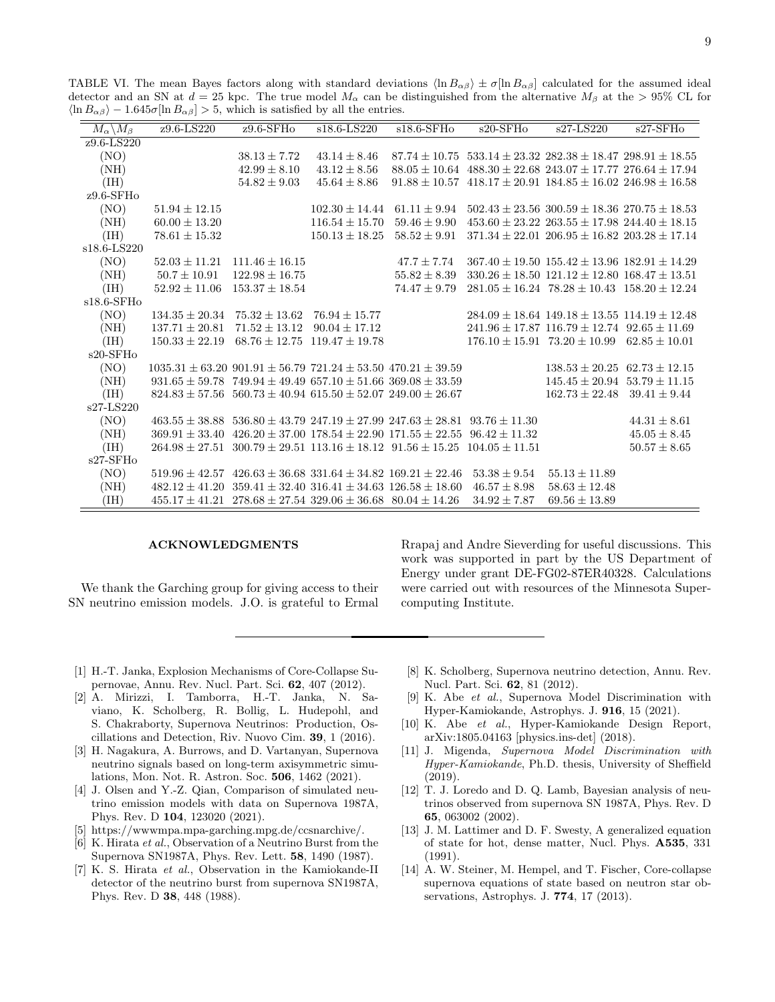<span id="page-8-14"></span>TABLE VI. The mean Bayes factors along with standard deviations  $\langle \ln B_{\alpha\beta} \rangle \pm \sigma [\ln B_{\alpha\beta}]$  calculated for the assumed ideal detector and an SN at  $d = 25$  kpc. The true model  $M_{\alpha}$  can be distinguished from the alternative  $M_{\beta}$  at the  $> 95\%$  CL for  $\langle \ln B_{\alpha\beta} \rangle - 1.645\sigma[\ln B_{\alpha\beta}] > 5$ , which is satisfied by all the entries.

| $M_{\alpha} \backslash M_{\beta}$ | $z9.6 - LS220$                                                                                | $z9.6 - SFHo$      | $s18.6 - LS220$                                          | $s18.6-SFH0$     | $s20-SFHo$                           | $s27-LS220$                                                                | $s27-SFHo$        |
|-----------------------------------|-----------------------------------------------------------------------------------------------|--------------------|----------------------------------------------------------|------------------|--------------------------------------|----------------------------------------------------------------------------|-------------------|
| z9.6-LS220                        |                                                                                               |                    |                                                          |                  |                                      |                                                                            |                   |
| (NO)                              |                                                                                               | $38.13 \pm 7.72$   | $43.14 \pm 8.46$                                         |                  |                                      | $87.74 \pm 10.75$ 533.14 $\pm$ 23.32 282.38 $\pm$ 18.47 298.91 $\pm$ 18.55 |                   |
| (NH)                              |                                                                                               | $42.99 \pm 8.10$   | $43.12 \pm 8.56$                                         |                  |                                      | $88.05 \pm 10.64$ $488.30 \pm 22.68$ $243.07 \pm 17.77$ $276.64 \pm 17.94$ |                   |
| (IH)                              |                                                                                               | $54.82 \pm 9.03$   | $45.64 \pm 8.86$                                         |                  |                                      | $91.88 \pm 10.57$ $418.17 \pm 20.91$ $184.85 \pm 16.02$ $246.98 \pm 16.58$ |                   |
| $z9.6$ -SFHo                      |                                                                                               |                    |                                                          |                  |                                      |                                                                            |                   |
| (NO)                              | $51.94 \pm 12.15$                                                                             |                    | $102.30 \pm 14.44$                                       | $61.11 \pm 9.94$ |                                      | $502.43 \pm 23.56$ 300.59 $\pm$ 18.36 270.75 $\pm$ 18.53                   |                   |
| (NH)                              | $60.00 \pm 13.20$                                                                             |                    | $116.54 \pm 15.70$                                       | $59.46 \pm 9.90$ |                                      | $453.60 \pm 23.22$ $263.55 \pm 17.98$ $244.40 \pm 18.15$                   |                   |
| (IH)                              | $78.61 \pm 15.32$                                                                             |                    | $150.13 \pm 18.25$                                       | $58.52 \pm 9.91$ |                                      | $371.34 \pm 22.01$ $206.95 \pm 16.82$ $203.28 \pm 17.14$                   |                   |
| s18.6-LS220                       |                                                                                               |                    |                                                          |                  |                                      |                                                                            |                   |
| (NO)                              | $52.03 \pm 11.21$                                                                             | $111.46 \pm 16.15$ |                                                          | $47.7 \pm 7.74$  |                                      | $367.40 \pm 19.50$ $155.42 \pm 13.96$ $182.91 \pm 14.29$                   |                   |
| (NH)                              | $50.7 \pm 10.91$                                                                              | $122.98 \pm 16.75$ |                                                          | $55.82 \pm 8.39$ |                                      | $330.26 \pm 18.50$ $121.12 \pm 12.80$ $168.47 \pm 13.51$                   |                   |
| (IH)                              | $52.92 \pm 11.06$                                                                             | $153.37 \pm 18.54$ |                                                          | $74.47 \pm 9.79$ |                                      | $281.05 \pm 16.24$ $78.28 \pm 10.43$ $158.20 \pm 12.24$                    |                   |
| $s18.6$ -SFHo                     |                                                                                               |                    |                                                          |                  |                                      |                                                                            |                   |
| (NO)                              | $134.35 \pm 20.34$                                                                            | $75.32 \pm 13.62$  | $76.94 \pm 15.77$                                        |                  |                                      | $284.09 \pm 18.64$ $149.18 \pm 13.55$ $114.19 \pm 12.48$                   |                   |
| (NH)                              | $137.71 \pm 20.81$                                                                            | $71.52 \pm 13.12$  | $90.04 \pm 17.12$                                        |                  |                                      | $241.96 \pm 17.87$ 116.79 $\pm$ 12.74 92.65 $\pm$ 11.69                    |                   |
| (IH)                              | $150.33 \pm 22.19$                                                                            | $68.76 \pm 12.75$  | $119.47 \pm 19.78$                                       |                  | $176.10 \pm 15.91$ $73.20 \pm 10.99$ |                                                                            | $62.85 \pm 10.01$ |
| $s20$ -SFH $o$                    |                                                                                               |                    |                                                          |                  |                                      |                                                                            |                   |
| (NO)                              | $1035.31 \pm 63.20$ $901.91 \pm 56.79$ $721.24 \pm 53.50$ $470.21 \pm 39.59$                  |                    |                                                          |                  |                                      | $138.53 \pm 20.25$ 62.73 $\pm$ 12.15                                       |                   |
| (NH)                              | $931.65 \pm 59.78$ $749.94 \pm 49.49$ $657.10 \pm 51.66$ $369.08 \pm 33.59$                   |                    |                                                          |                  |                                      | $145.45 \pm 20.94$                                                         | $53.79 \pm 11.15$ |
| (IH)                              | $824.83 \pm 57.56$ 560.73 $\pm$ 40.94 615.50 $\pm$ 52.07 249.00 $\pm$ 26.67                   |                    |                                                          |                  |                                      | $162.73 \pm 22.48$                                                         | $39.41 \pm 9.44$  |
| s27-LS220                         |                                                                                               |                    |                                                          |                  |                                      |                                                                            |                   |
| (NO)                              | $463.55 \pm 38.88$ 536.80 $\pm 43.79$ 247.19 $\pm 27.99$ 247.63 $\pm 28.81$ 93.76 $\pm 11.30$ |                    |                                                          |                  |                                      |                                                                            | $44.31 \pm 8.61$  |
| (NH)                              | $369.91 \pm 33.40$                                                                            |                    | $426.20 \pm 37.00$ $178.54 \pm 22.90$ $171.55 \pm 22.55$ |                  | $96.42 \pm 11.32$                    |                                                                            | $45.05 \pm 8.45$  |
| (IH)                              | $264.98 \pm 27.51$ $300.79 \pm 29.51$ $113.16 \pm 18.12$ $91.56 \pm 15.25$ $104.05 \pm 11.51$ |                    |                                                          |                  |                                      |                                                                            | $50.57 \pm 8.65$  |
| $s27-SFHo$                        |                                                                                               |                    |                                                          |                  |                                      |                                                                            |                   |
| (NO)                              | $519.96 \pm 42.57$ $426.63 \pm 36.68$ $331.64 \pm 34.82$ $169.21 \pm 22.46$                   |                    |                                                          |                  | $53.38 \pm 9.54$                     | $55.13 \pm 11.89$                                                          |                   |
| (NH)                              | $482.12 \pm 41.20$                                                                            |                    | $359.41 \pm 32.40$ $316.41 \pm 34.63$ $126.58 \pm 18.60$ |                  | $46.57 \pm 8.98$                     | $58.63 \pm 12.48$                                                          |                   |
| (IH)                              | $455.17 \pm 41.21$ $278.68 \pm 27.54$ $329.06 \pm 36.68$ $80.04 \pm 14.26$                    |                    |                                                          |                  | $34.92 \pm 7.87$                     | $69.56 \pm 13.89$                                                          |                   |

#### ACKNOWLEDGMENTS

We thank the Garching group for giving access to their SN neutrino emission models. J.O. is grateful to Ermal

Rrapaj and Andre Sieverding for useful discussions. This work was supported in part by the US Department of Energy under grant DE-FG02-87ER40328. Calculations were carried out with resources of the Minnesota Supercomputing Institute.

- <span id="page-8-0"></span>[1] H.-T. Janka, Explosion Mechanisms of Core-Collapse Supernovae, Annu. Rev. Nucl. Part. Sci. 62, 407 (2012).
- <span id="page-8-1"></span>[2] A. Mirizzi, I. Tamborra, H.-T. Janka, N. Saviano, K. Scholberg, R. Bollig, L. Hudepohl, and S. Chakraborty, Supernova Neutrinos: Production, Oscillations and Detection, Riv. Nuovo Cim. 39, 1 (2016).
- <span id="page-8-2"></span>[3] H. Nagakura, A. Burrows, and D. Vartanyan, Supernova neutrino signals based on long-term axisymmetric simulations, Mon. Not. R. Astron. Soc. 506, 1462 (2021).
- <span id="page-8-3"></span>[4] J. Olsen and Y.-Z. Qian, Comparison of simulated neutrino emission models with data on Supernova 1987A, Phys. Rev. D 104, 123020 (2021).
- <span id="page-8-4"></span>[5] https://wwwmpa.mpa-garching.mpg.de/ccsnarchive/.
- <span id="page-8-5"></span>[6] K. Hirata et al., Observation of a Neutrino Burst from the Supernova SN1987A, Phys. Rev. Lett. 58, 1490 (1987).
- <span id="page-8-6"></span>[7] K. S. Hirata et al., Observation in the Kamiokande-II detector of the neutrino burst from supernova SN1987A, Phys. Rev. D 38, 448 (1988).
- <span id="page-8-7"></span>[8] K. Scholberg, Supernova neutrino detection, Annu. Rev. Nucl. Part. Sci. 62, 81 (2012).
- <span id="page-8-8"></span>[9] K. Abe et al., Supernova Model Discrimination with Hyper-Kamiokande, Astrophys. J. 916, 15 (2021).
- <span id="page-8-9"></span>[10] K. Abe et al., Hyper-Kamiokande Design Report, arXiv:1805.04163 [physics.ins-det] (2018).
- <span id="page-8-10"></span>[11] J. Migenda, Supernova Model Discrimination with Hyper-Kamiokande, Ph.D. thesis, University of Sheffield (2019).
- <span id="page-8-11"></span>[12] T. J. Loredo and D. Q. Lamb, Bayesian analysis of neutrinos observed from supernova SN 1987A, Phys. Rev. D , 063002 (2002).
- <span id="page-8-12"></span>[13] J. M. Lattimer and D. F. Swesty, A generalized equation of state for hot, dense matter, Nucl. Phys. A535, 331 (1991).
- <span id="page-8-13"></span>[14] A. W. Steiner, M. Hempel, and T. Fischer, Core-collapse supernova equations of state based on neutron star observations, Astrophys. J. 774, 17 (2013).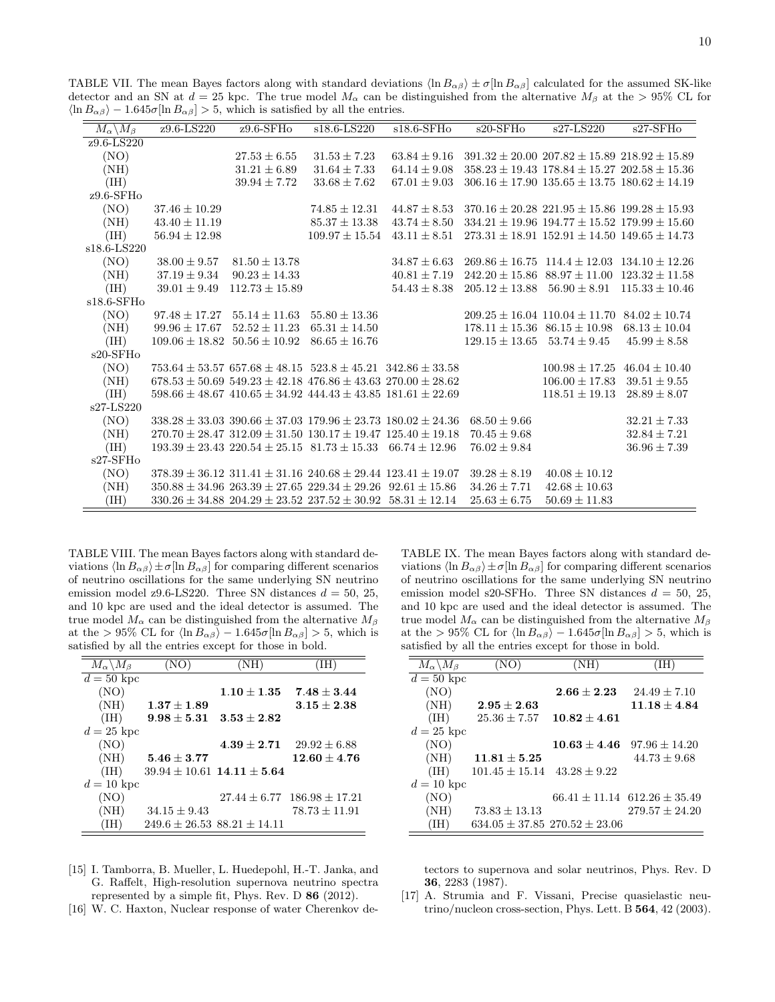<span id="page-9-3"></span>TABLE VII. The mean Bayes factors along with standard deviations  $\langle \ln B_{\alpha\beta} \rangle \pm \sigma [\ln B_{\alpha\beta}]$  calculated for the assumed SK-like detector and an SN at  $d = 25$  kpc. The true model  $M_{\alpha}$  can be distinguished from the alternative  $M_{\beta}$  at the > 95% CL for  $\langle \ln B_{\alpha\beta} \rangle - 1.645\sigma[\ln B_{\alpha\beta}] > 5$ , which is satisfied by all the entries.

| $\overline{M_{\alpha}\backslash M_{\beta}}$ | $z9.6 - LS220$     | $z9.6$ -SFHo                                                                | $s18.6 - LS220$    | $s18.6-SFH$      | $s20$ -SFHo                          | s27-LS220                                                | $s27-SFHo$         |
|---------------------------------------------|--------------------|-----------------------------------------------------------------------------|--------------------|------------------|--------------------------------------|----------------------------------------------------------|--------------------|
| z9.6-LS220                                  |                    |                                                                             |                    |                  |                                      |                                                          |                    |
| (NO)                                        |                    | $27.53 \pm 6.55$                                                            | $31.53 \pm 7.23$   | $63.84 \pm 9.16$ |                                      | $391.32 \pm 20.00$ $207.82 \pm 15.89$ $218.92 \pm 15.89$ |                    |
| (NH)                                        |                    | $31.21 \pm 6.89$                                                            | $31.64 \pm 7.33$   | $64.14 \pm 9.08$ |                                      | $358.23 \pm 19.43$ $178.84 \pm 15.27$ $202.58 \pm 15.36$ |                    |
| (IH)                                        |                    | $39.94 \pm 7.72$                                                            | $33.68 \pm 7.62$   | $67.01 \pm 9.03$ |                                      | $306.16 \pm 17.90$ $135.65 \pm 13.75$ $180.62 \pm 14.19$ |                    |
| $z9.6$ -SFHo                                |                    |                                                                             |                    |                  |                                      |                                                          |                    |
| (NO)                                        | $37.46 \pm 10.29$  |                                                                             | $74.85 \pm 12.31$  | $44.87 \pm 8.53$ |                                      | $370.16 \pm 20.28$ $221.95 \pm 15.86$ $199.28 \pm 15.93$ |                    |
| (NH)                                        | $43.40 \pm 11.19$  |                                                                             | $85.37 \pm 13.38$  | $43.74 \pm 8.50$ |                                      | $334.21 \pm 19.96$ $194.77 \pm 15.52$ $179.99 \pm 15.60$ |                    |
| (IH)                                        | $56.94 \pm 12.98$  |                                                                             | $109.97 \pm 15.54$ | $43.11 \pm 8.51$ |                                      | $273.31 \pm 18.91$ $152.91 \pm 14.50$ $149.65 \pm 14.73$ |                    |
| s18.6-LS220                                 |                    |                                                                             |                    |                  |                                      |                                                          |                    |
| (NO)                                        | $38.00 \pm 9.57$   | $81.50 \pm 13.78$                                                           |                    | $34.87 \pm 6.63$ | $269.86 \pm 16.75$ 114.4 $\pm$ 12.03 |                                                          | $134.10 \pm 12.26$ |
| (NH)                                        | $37.19 \pm 9.34$   | $90.23 \pm 14.33$                                                           |                    | $40.81 \pm 7.19$ | $242.20 \pm 15.86$                   | $88.97 \pm 11.00$                                        | $123.32 \pm 11.58$ |
| (IH)                                        | $39.01 \pm 9.49$   | $112.73 \pm 15.89$                                                          |                    | $54.43 \pm 8.38$ | $205.12 \pm 13.88$                   | $56.90 \pm 8.91$                                         | $115.33 \pm 10.46$ |
| $s18.6$ -SFH $o$                            |                    |                                                                             |                    |                  |                                      |                                                          |                    |
| (NO)                                        | $97.48 \pm 17.27$  | $55.14 \pm 11.63$                                                           | $55.80 \pm 13.36$  |                  |                                      | $209.25 \pm 16.04$ 110.04 $\pm$ 11.70                    | $84.02 \pm 10.74$  |
| (NH)                                        | $99.96 \pm 17.67$  | $52.52 \pm 11.23$                                                           | $65.31 \pm 14.50$  |                  | $178.11 \pm 15.36$ $86.15 \pm 10.98$ |                                                          | $68.13 \pm 10.04$  |
| (IH)                                        | $109.06 \pm 18.82$ | $50.56 \pm 10.92$                                                           | $86.65 \pm 16.76$  |                  | $129.15 \pm 13.65$                   | $53.74 \pm 9.45$                                         | $45.99 \pm 8.58$   |
| $s20$ -SFH $o$                              |                    |                                                                             |                    |                  |                                      |                                                          |                    |
| (NO)                                        |                    | $753.64 \pm 53.57$ $657.68 \pm 48.15$ $523.8 \pm 45.21$ $342.86 \pm 33.58$  |                    |                  |                                      | $100.98 \pm 17.25$                                       | $46.04 \pm 10.40$  |
| (NH)                                        |                    | $678.53 \pm 50.69$ 549.23 $\pm$ 42.18 476.86 $\pm$ 43.63 270.00 $\pm$ 28.62 |                    |                  |                                      | $106.00 \pm 17.83$                                       | $39.51 \pm 9.55$   |
| (IH)                                        |                    | $598.66 \pm 48.67$ $410.65 \pm 34.92$ $444.43 \pm 43.85$ $181.61 \pm 22.69$ |                    |                  |                                      | $118.51 \pm 19.13$                                       | $28.89 \pm 8.07$   |
| $s27-LS220$                                 |                    |                                                                             |                    |                  |                                      |                                                          |                    |
| (NO)                                        |                    | $338.28 \pm 33.03$ 390.66 $\pm$ 37.03 179.96 $\pm$ 23.73 180.02 $\pm$ 24.36 |                    |                  | $68.50 \pm 9.66$                     |                                                          | $32.21 \pm 7.33$   |
| (NH)                                        |                    | $270.70 \pm 28.47$ 312.09 $\pm$ 31.50 130.17 $\pm$ 19.47 125.40 $\pm$ 19.18 |                    |                  | $70.45 \pm 9.68$                     |                                                          | $32.84 \pm 7.21$   |
| (IH)                                        |                    | $193.39 \pm 23.43$ $220.54 \pm 25.15$ $81.73 \pm 15.33$                     |                    | $66.74 + 12.96$  | $76.02 \pm 9.84$                     |                                                          | $36.96 \pm 7.39$   |
| $s27-SFHo$                                  |                    |                                                                             |                    |                  |                                      |                                                          |                    |
| (NO)                                        |                    | $378.39 \pm 36.12$ $311.41 \pm 31.16$ $240.68 \pm 29.44$ $123.41 \pm 19.07$ |                    |                  | $39.28 \pm 8.19$                     | $40.08 \pm 10.12$                                        |                    |
| (NH)                                        |                    | $350.88 \pm 34.96$ $263.39 \pm 27.65$ $229.34 \pm 29.26$ $92.61 \pm 15.86$  |                    |                  | $34.26 \pm 7.71$                     | $42.68 \pm 10.63$                                        |                    |
| (IH)                                        |                    | $330.26 \pm 34.88$ $204.29 \pm 23.52$ $237.52 \pm 30.92$ $58.31 \pm 12.14$  |                    |                  | $25.63 \pm 6.75$                     | $50.69 \pm 11.83$                                        |                    |

<span id="page-9-4"></span>TABLE VIII. The mean Bayes factors along with standard deviations  $\langle \ln B_{\alpha\beta} \rangle \pm \sigma [\ln B_{\alpha\beta}]$  for comparing different scenarios of neutrino oscillations for the same underlying SN neutrino emission model z9.6-LS220. Three SN distances  $d = 50, 25,$ and 10 kpc are used and the ideal detector is assumed. The true model  $M_{\alpha}$  can be distinguished from the alternative  $M_{\beta}$ at the > 95% CL for  $\langle \ln B_{\alpha\beta} \rangle - 1.645\sigma[\ln B_{\alpha\beta}] > 5$ , which is satisfied by all the entries except for those in bold.

| $M_{\alpha} \backslash M_{\beta}$ | (NO)                                | (NH)                               | (IH)                                |
|-----------------------------------|-------------------------------------|------------------------------------|-------------------------------------|
| $d=50~{\rm kpc}$                  |                                     |                                    |                                     |
| (NO)                              |                                     | $1.10 + 1.35$                      | $7.48 + 3.44$                       |
| (NH)                              | $1.37\pm1.89$                       |                                    | $3.15 + 2.38$                       |
| (IH)                              | $9.98 \pm 5.31$                     | $3.53 + 2.82$                      |                                     |
| $d=25~{\rm kpc}$                  |                                     |                                    |                                     |
| (NO)                              |                                     | $4.39 + 2.71$                      | $29.92 \pm 6.88$                    |
| (NH)                              | $5.46 + 3.77$                       |                                    | $12.60 + 4.76$                      |
| (IH)                              |                                     | $39.94 \pm 10.61$ 14.11 $\pm$ 5.64 |                                     |
| $d=10~{\rm kpc}$                  |                                     |                                    |                                     |
| (NO)                              |                                     |                                    | $27.44 \pm 6.77$ $186.98 \pm 17.21$ |
| (NH)                              | $34.15 \pm 9.43$                    |                                    | $78.73 \pm 11.91$                   |
| (IH)                              | $249.6 \pm 26.53$ $88.21 \pm 14.11$ |                                    |                                     |

- <span id="page-9-0"></span>[15] I. Tamborra, B. Mueller, L. Huedepohl, H.-T. Janka, and G. Raffelt, High-resolution supernova neutrino spectra represented by a simple fit, Phys. Rev. D 86 (2012).
- <span id="page-9-1"></span>[16] W. C. Haxton, Nuclear response of water Cherenkov de-

<span id="page-9-5"></span>TABLE IX. The mean Bayes factors along with standard deviations  $\langle \ln B_{\alpha\beta} \rangle \pm \sigma [\ln B_{\alpha\beta}]$  for comparing different scenarios of neutrino oscillations for the same underlying SN neutrino emission model s20-SFHo. Three SN distances  $d = 50, 25,$ and 10 kpc are used and the ideal detector is assumed. The true model  $M_{\alpha}$  can be distinguished from the alternative  $M_{\beta}$ at the > 95% CL for  $\langle \ln B_{\alpha\beta} \rangle - 1.645\sigma[\ln B_{\alpha\beta}] > 5$ , which is satisfied by all the entries except for those in bold.

| $M_\alpha \backslash M_\beta$ | (NO)               | (NH)                                  | (IH)                             |
|-------------------------------|--------------------|---------------------------------------|----------------------------------|
| $\overline{d=50}$ kpc         |                    |                                       |                                  |
| (NO)                          |                    | $2.66 + 2.23$                         | $24.49 \pm 7.10$                 |
| (NH)                          | $2.95 \pm 2.63$    |                                       | $11.18 + 4.84$                   |
| (IH)                          | $25.36 \pm 7.57$   | $10.82 + 4.61$                        |                                  |
| $d=25~{\rm kpc}$              |                    |                                       |                                  |
| (NO)                          |                    | $10.63 + 4.46$                        | $97.96 \pm 14.20$                |
| (NH)                          | $11.81 \pm 5.25$   |                                       | $44.73 + 9.68$                   |
| (IH)                          | $101.45 \pm 15.14$ | $43.28 + 9.22$                        |                                  |
| $d=10~{\rm kpc}$              |                    |                                       |                                  |
| (NO)                          |                    |                                       | $66.41 + 11.14$ $612.26 + 35.49$ |
| (NH)                          | $73.83 \pm 13.13$  |                                       | $279.57 + 24.20$                 |
| ΊH                            |                    | $634.05 \pm 37.85$ 270.52 $\pm$ 23.06 |                                  |

tectors to supernova and solar neutrinos, Phys. Rev. D , 2283 (1987).

<span id="page-9-2"></span>[17] A. Strumia and F. Vissani, Precise quasielastic neutrino/nucleon cross-section, Phys. Lett. B 564, 42 (2003).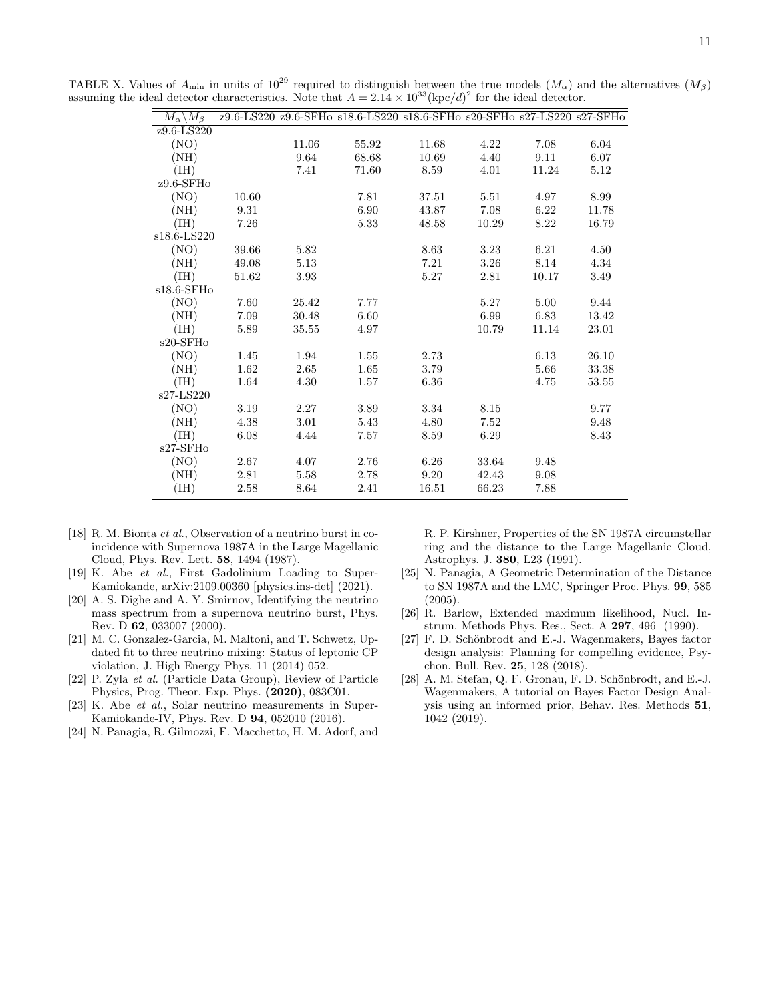TABLE X. Values of  $A_{\text{min}}$  in units of  $10^{29}$  required to distinguish between the true models  $(M_\alpha)$  and the alternatives  $(M_\beta)$ assuming the ideal detector characteristics. Note that  $A = 2.14 \times 10^{33} (\text{kpc}/d)^2$  for the ideal detector.

<span id="page-10-10"></span>

|                                                 |       |       | z9.6-LS220 z9.6-SFHo s18.6-LS220 s18.6-SFHo s20-SFHo s27-LS220 s27-SFHo |       |       |       |       |
|-------------------------------------------------|-------|-------|-------------------------------------------------------------------------|-------|-------|-------|-------|
| $M_{\alpha} \backslash M_{\beta}$<br>z9.6-LS220 |       |       |                                                                         |       |       |       |       |
|                                                 |       | 11.06 | 55.92                                                                   | 11.68 | 4.22  | 7.08  | 6.04  |
| (NO)                                            |       |       |                                                                         |       |       |       |       |
| (NH)                                            |       | 9.64  | 68.68                                                                   | 10.69 | 4.40  | 9.11  | 6.07  |
| (IH)                                            |       | 7.41  | 71.60                                                                   | 8.59  | 4.01  | 11.24 | 5.12  |
| $z9.6$ -SFHo                                    |       |       |                                                                         |       |       |       |       |
| (NO)                                            | 10.60 |       | 7.81                                                                    | 37.51 | 5.51  | 4.97  | 8.99  |
| (NH)                                            | 9.31  |       | 6.90                                                                    | 43.87 | 7.08  | 6.22  | 11.78 |
| (IH)                                            | 7.26  |       | 5.33                                                                    | 48.58 | 10.29 | 8.22  | 16.79 |
| s18.6-LS220                                     |       |       |                                                                         |       |       |       |       |
| (NO)                                            | 39.66 | 5.82  |                                                                         | 8.63  | 3.23  | 6.21  | 4.50  |
| (NH)                                            | 49.08 | 5.13  |                                                                         | 7.21  | 3.26  | 8.14  | 4.34  |
| (HH)                                            | 51.62 | 3.93  |                                                                         | 5.27  | 2.81  | 10.17 | 3.49  |
| $s18.6$ -SFH $o$                                |       |       |                                                                         |       |       |       |       |
| (NO)                                            | 7.60  | 25.42 | 7.77                                                                    |       | 5.27  | 5.00  | 9.44  |
| (NH)                                            | 7.09  | 30.48 | 6.60                                                                    |       | 6.99  | 6.83  | 13.42 |
| (HH)                                            | 5.89  | 35.55 | 4.97                                                                    |       | 10.79 | 11.14 | 23.01 |
| $s20$ -SFH $o$                                  |       |       |                                                                         |       |       |       |       |
| (NO)                                            | 1.45  | 1.94  | 1.55                                                                    | 2.73  |       | 6.13  | 26.10 |
| (NH)                                            | 1.62  | 2.65  | 1.65                                                                    | 3.79  |       | 5.66  | 33.38 |
| (HH)                                            | 1.64  | 4.30  | 1.57                                                                    | 6.36  |       | 4.75  | 53.55 |
| s27-LS220                                       |       |       |                                                                         |       |       |       |       |
| (NO)                                            | 3.19  | 2.27  | 3.89                                                                    | 3.34  | 8.15  |       | 9.77  |
| (NH)                                            | 4.38  | 3.01  | 5.43                                                                    | 4.80  | 7.52  |       | 9.48  |
| (IH)                                            | 6.08  | 4.44  | 7.57                                                                    | 8.59  | 6.29  |       | 8.43  |
| $s27-SFHo$                                      |       |       |                                                                         |       |       |       |       |
| (NO)                                            | 2.67  | 4.07  | 2.76                                                                    | 6.26  | 33.64 | 9.48  |       |
| (NH)                                            | 2.81  | 5.58  | 2.78                                                                    | 9.20  | 42.43 | 9.08  |       |
| (III)                                           | 2.58  | 8.64  | 2.41                                                                    | 16.51 | 66.23 | 7.88  |       |

- <span id="page-10-0"></span>[18] R. M. Bionta et al., Observation of a neutrino burst in coincidence with Supernova 1987A in the Large Magellanic Cloud, Phys. Rev. Lett. 58, 1494 (1987).
- <span id="page-10-1"></span>[19] K. Abe et al., First Gadolinium Loading to Super-Kamiokande, arXiv:2109.00360 [physics.ins-det] (2021).
- <span id="page-10-2"></span>[20] A. S. Dighe and A. Y. Smirnov, Identifying the neutrino mass spectrum from a supernova neutrino burst, Phys. Rev. D 62, 033007 (2000).
- [21] M. C. Gonzalez-Garcia, M. Maltoni, and T. Schwetz, Updated fit to three neutrino mixing: Status of leptonic CP violation, J. High Energy Phys. 11 (2014) 052.
- <span id="page-10-3"></span>[22] P. Zyla et al. (Particle Data Group), Review of Particle Physics, Prog. Theor. Exp. Phys. (2020), 083C01.
- <span id="page-10-4"></span>[23] K. Abe et al., Solar neutrino measurements in Super-Kamiokande-IV, Phys. Rev. D 94, 052010 (2016).
- <span id="page-10-5"></span>[24] N. Panagia, R. Gilmozzi, F. Macchetto, H. M. Adorf, and

R. P. Kirshner, Properties of the SN 1987A circumstellar ring and the distance to the Large Magellanic Cloud, Astrophys. J. 380, L23 (1991).

- <span id="page-10-6"></span>[25] N. Panagia, A Geometric Determination of the Distance to SN 1987A and the LMC, Springer Proc. Phys. 99, 585 (2005).
- <span id="page-10-7"></span>[26] R. Barlow, Extended maximum likelihood, Nucl. Instrum. Methods Phys. Res., Sect. A 297, 496 (1990).
- <span id="page-10-8"></span>[27] F. D. Schönbrodt and E.-J. Wagenmakers, Bayes factor design analysis: Planning for compelling evidence, Psychon. Bull. Rev. 25, 128 (2018).
- <span id="page-10-9"></span> $[28]$  A. M. Stefan, Q. F. Gronau, F. D. Schönbrodt, and E.-J. Wagenmakers, A tutorial on Bayes Factor Design Analysis using an informed prior, Behav. Res. Methods 51, 1042 (2019).